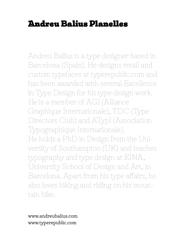# Andreu Balius Planelles

Andreu Balius is a type designer based in Barcelona (Spain). He designs retail and custom typefaces at typerepublic.com and has been awarded with several Excellence in Type Design for his type design work. He is a member of AGI (Alliance Graphique Internationale), TDC (Type Directors Club) and ATypI (Association Typographique Internationale). He holds a PhD in Design from the University of Southampton (UK) and teaches typography and type design at EINA, University School of Design and Art, in Barcelona. Apart from his type affairs, he also loves hiking and riding on his mountain bike.

www.andreubalius.com www.typerepublic.com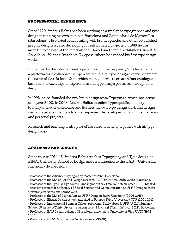# PROFESSIONAL EXPERIENCE

Since 1990, Andreu Balius has been working as a freelance typographer and type designer running his own studio in Barcelona and Santa Maria de Martorelles (Barcelona). He started collaborating with brand agencies and other established graphic designers, also developing his self initiated projects. In 1989 he was awarded to be part of the International Barcelona Biennial exhibition (*Bienal de Barcelona. Jóvenes Creadores Europeos*) where he exposed his first type design works.

Influenced by the international type context, in the very early 90's he launched a platform for a collaborative 'open source' digital type design experience under the name of Garcia fonts & co, which main goal was to create a font catalogue based on the exchange of experiences and type design processes through font design.

In 1993, he co-founded the two-brain design team Typerware, which was active until year 2000. In 2003, Andreu Balius founded Typerepublic.com, a type foundry where he distributes and licenses his own type design work and designs custom typefaces for brands and companies. He developes both commercial work and personal projects.

Research and teaching is also part of his current activity together with his type design work.

# ACADEMIC EXPERIENCE

Since course 2014-15, Andreu Balius teaches Typography and Type design at EINA, University School of Design and Art, attached to the UAB – Universitat Autònoma de Barcelona.

• Professor at the Advanced Typography Master at Eina. Barcelona.

• Professor at the Type Design course (Unos tipos duros / Familia Plómez, since 2014). Madrid.

• Associate professor at Faculty of Social Science and Communication at UPF / Pompeu Fabra University, in Barcelona (2000-2015).

School. *Sketches of Spain: Spain in contemporary Mass and Visual Culture*. (2012). Barcelona. • Professor at BAU Design college of Barcelona, attached to University of Vic / UVIC (1992- 2004).

• Professor at IDEP Design school in Barcelona (1990-91).

<sup>•</sup> Professor at the MA of Art and Design research / MURAD (Eina, 2016-2018). Barcelona.

<sup>•</sup> Professor at the MA of Digital Arts at UPF / Pompeu Fabra University (2006-2015).

<sup>•</sup> Professor at Elisava Design school, attached to Pompeu Fabra University / UPF (2001-2015).

<sup>•</sup> Professor at International Summer School programe. Study abroad. UPF-UCLA Summer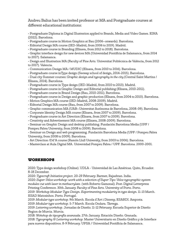Andreu Balius has been invited professor at MA and Postgraduate courses at different educational institutions:

• Postgraduate Diploma in Digital Illustration applied to Brands, Media and Video Games. EINA (2022). Barcelona.

• Postgraduate course in Motion Graphics at Bau (2006–onwards). Barcelona.

• Editorial Design MA course (IED-Madrid, from 2006 to 2019). Madrid.

• Postgraduate course in Branding (Elisava, from 2012 to 2018). Barcelona.

• Graphic interface design for new devices MA (Universidad Pontificia de Salamanca, from 2014 to 2017). Salamanca.

• Design and Illustration MA (Faculty of Fine Arts. Universitat Politècnica de València, from 2012 to 2017). Valencia.

• Communication Design MA / MUDIC (Elisava, from 2010 to 2016). Barcelona.

• Postgraduate course inType design (Seeway school of design, 2014-2015). Barcelona.

• Dual city Summer courses: *Graphic design and typography in the city* (Central Saint Martins / Elisava, 2014). Barcelona.

• Postgraduate course in Type design (IED-Madrid, from 2010 to 2013). Madrid.

• Postgraduate course in Graphic Design and Editorial publishing (Elisava, 2010-2011).

• Postgraduate course in Brand Design (Bau, 2010-2011). Barcelona.

• Postgraduate course in Design and graphic production (Elisava, from 2004 to 2010). Barcelona.

• Motion Graphics MA course (IED-Madrid, 2008-2009). Madrid.

• Editorial Design MA course (Bau, from 2007 to 2009). Barcelona.

• Graphic communication MA (UAB–Universitat Autònoma de Barcelona, 2008-09). Barcelona.

• Corporate Identity Design MA course (Elisava, from 2007 to 2009). Barcelona.

• Postgraduate course in Art Direction (Elisava, from 2007 to 2009). Barcelona.

• Creativity and Advertisement MA course (Elisava, 2008-2009). Barcelona.

• Seminar on Graphic Design and desktop publishing. Fundación Barcelona Media (UPF /

Pompeu Fabra University, from 2008 to 2009). Barcelona.

• Seminar on Design and web programming. Fundación Barcelona Media (UPF / Pompeu Fabra University, from 2008 to 2009). Barcelona.

• Art Direction /Dd'A course (Ramón Llull University, from 2003 to 2006). Barcelona.

• Masterclass at Aula Digital MA. Universidad Pompeu Fabra / UPF. Barcelona. 2000-2001.

# WORKSHOPS

2020: Type design workshop (Online). UDLA - Universidad de Las Américas. Quito, Ecuador. 8-18 December.

2020: *Typecraft Initiative project.* 20-29 February. Barmer, Rajashtan. India.

2020: *Super-Veloz workshop: work with a selection of Super Tipo Veloz typographic system modules cut with laser in methacrylate.* (with Roberto Gamonal). Post-Digital Letterpress

Printing Conference. 30th January. Faculty of Fine Arts. University of Porto. Porto.

2019: *Workshop Modular Type Design. Experimenting modularity in type design.* 11-13 March. ESAD Matosinhos. Porto. Portugal.

2019: *Modular type workshop.* 9th March. Escola d'Art i Disseny, ESARDI. Amposta.

2019: *Modular type workshop*. 5-7 March. Escola Ondara. Tàrrega.

2019: *Lettering workshop.* Jornadas de Diseño. 11-12 February. Escuela Superior de Diseño Region de Murcia. Murcia.

2018: *Wokshop de tipografía avanzada*. 27th January. Estación Diseño. Granada.

2018: *Typography & Lettering workshop.* Master Universitario en Diseño Gráfico y de Interface para nuevos dispositivos. 8-9 February. UPSA / Universidad Pontificia de Salamanca.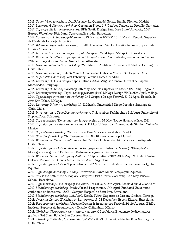2018: *Super-Veloz workshop*. 10th February. La Quinta del Sordo. Familia Plómez. Madrid. 2017: *Lettering & Identity workshop.* Certamen Tipos. 6-7 October. Palacio de Pronillo. Santader.

2017: *Typerepublic lettering workshop.* BFA Grafic Design Sant Jose State University 2017 Europe Workshop. 18th June. Typerepublic studio. Barcelona.

2017: *Comunicar el vino tipográficamente*. 23 Jornadas ESDIR. 13-14 March. Escuela Superior de Diseño de La Rioja. Logroño.

2016: *Advanced type design workshop.* 18-19 November. Estación Diseño, Escuela Superior de Diseño. Granada.

2016: *Introduction to Lettering for graphic designers*. 22nd April. Vistaprint. Barcelona. 2016: *Workshop 'DíaTypo Typerepublic – Tipografía como herramienta para la comunicación'.*  12th February. Asociación de Diseñadores. Albacete.

2015: *Lettering introduction workshop.* 26th March. Pontificia Universidad Católica. Santiago de Chile. Chile.

2015: *Lettering workshop.* 24-26 March. Universidad Gabriela Mistral. Santiago de Chile. 2015: *Super Veloz workshop.* 21st February. Familia Plómez. Madrid.

2014: *Lettering & Brand design.* Tipos Latinos. 20-23 August. Centro Cultural de España. Montevideo. Uruguay.

2014: *Lettering & Identity workshop.* 6th May. Escuela Superior de Diseño (ESDIR). Logroño. 2014: *Lettering workshop 'Tipos, tapas y pescaíto frito'.* Málaga Design Walk. 25th April. Málaga. 2014: *Type design introduction workshop.* 2nd Graphic Design Festival. 21-23 April. Escuela de Arte San Telmo, Málaga.

2014: *Lettering & Identity workshop.* 19-21 March. Universidad Diego Portales. Santiago de Chile. Chile.

2013: *Introduction to Type Design workshop.* 4-7 November. Fachhochule Salzburg University of Applied Arts. Salzburg.

2013: *Type workshop 'Emocionar con la tipografía'.* 14-16 May. Grupo Horma. México DF.

2013: *Type design introduction workshop*. 9-11 May. Universidad Autónoma de Sinaloa. Culiacán. México.

2013: *Super-Veloz workshop.* 26th January. Familia Plómez workshop. Madrid.

2012: *Slab Serif workshop.* 21st December. Familia Plómez workshop. Madrid.

2012: *Workshop on Type in public space.* 1-6 October. Universidad Finis-Terrae. Santiago de Chile. Chile.

2012: *Type design workshop: From letter to typeface* (with Eduardo Manso). "Sinergias" / Monográfica.org. 15-16 September. Entresuelo segunda. Barcelona.

2012: *Workshop 'La voz, el signo y el alfabeto'.* Tipos Latinos 2012. 30th May. CCEBA / Centro Cultural Español de Buenos Aires. Buenos Aires. Argentina.

2012: *Type design workshop*. Tipos Latinos. 11-12 May. Centro de Arte Contemporáneo. Quito. Equator.

2012: *Type design workshop.* 7-8 May. Universidad Santa María. Guayaquil. Equator.

2012: *'Press the Letter'. Workshop on Letterpress.* (with Jesús Morentín). 17th May. Elisava School. Barcelona.

2012: *Type workshop: 'the image of the letter'.* Tres al Cub. 18th April. Escola d'Art d'Olot. Olot. 2012: *Modular type workshop.* Study Abroad Programme. 17th April. Fundació Universitat Autònoma de Barcelona (UAB). Campus Hospital de Sant Pau. Barcelona.

2012: *Modular type workshop.* 11th April. Escola d'Art i Superior de Disseny Ondara. Tàrrega.

2011: *'Press the Letter'. Workshop on Letterpress.* 19-22 December. Escola Elisava. Barcelona.

2011: *Type specimen workshop.* Vaseline Design & Architecture Festival. 24-26 August. ISAD / Instituto Superior de Arquitectura y Diseño. Chihuahua. México.

2011: *Workshop 'New sounds, new letters, new signs'.* Serifalaris. Encuentro de diseñadores gráficos. 3rd June. Palacio San Joseren. Getxo.

2011: *Workshop 'Lettering for brand design'.* 27-29 April. Universidad del Pacífico. Santiago de Chile. Chile.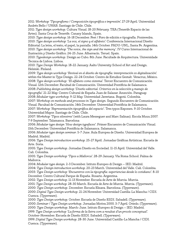2011: *Workshop 'Tipografismo / Composición tipográfica e impresión'.* 27-29 April. Universidad Andrés Bello / UNAB. Santiago de Chile. Chile.

2011: *Type design workshop.* Cultura Visual. 18-20 February. TEA (Tenerife Espacio de las Artes). Santa Cruz de Tenerife. Canary Islands, Spain.

2010: *Type design workshop.* 16-18 December. Feet / Foro de edición e tipografía. Pontevedra. 2010: *Type design workshop 'La voz, el signo y el alfabeto'.* Conferencia Internacional Diseño Editorial: La letra, el texto, el papel, la pantalla. 14th October. FADU-UNL, Santa Fe. Argentina. 2010: *Type design workshop 'The voice, the sign and the memory'*. IV Curso Internacional de Ilustración y Diseño Gráfico. 24-25 June. Albarracín. Teruel. Spain.

2010: *Typedesign workshop*. Design ao Cubo. 8th June. Facultade de Arquitectura. Universidade Tecnica de Lisboa. Lisboa.

2010: *Type Design Workshop.* 18-22 January. Aalto University School of Art and Design. Helsinki. Finland.

2009: *Type design workshop 'Revival en el diseño de tipografía: interpretación vs digitalización'.*  within the Master in Type Design. 22-24 October. Centro de Estudios Gestalt. Veracruz, México. 2008: *Type design workshop: 'El alfabeto como sistema'.* Tercer Encuentro de Comunicación Visual. 12th December. Facultad de Comunicación. Universidad Pontificia de Salamanca.

2008: *Publishing design workshop 'Diseño editorial. Criterios en la selección y manejo de tipografía'.* 21-22 May. Centro Cultural de España Juan de Salazar. Asunción. Paraguay.

2008: *Modular type workshop.* 9-12 May. Universidad Javeriana. Bogotá. Colombia.

2007: *Workshop on methods and processes in Type design.* Segundo Encuentro de Comunicación Visual. Facultad de Comunicación. 14th December. Universidad Pontificia de Salamanca.

2007: *Workshop 'Representación tipográfica del espacio'*. Tres typos Exponen. 9-10 October. Universidad Mayor. Santiago de Chile. Chile.

2007: *Workshop 'Tipos silvestres'* (with Laura Messeguer and Marc Salinas). Escola Muuu 2007. 7-9 September. Talamanca. Barcelona

2006: *Modular type design 'How design typefaces'*. Primer Encuentro de Comunicación Visual. 15th December. Universidad Pontificia de Salamanca. Salamanca.

2006: *Modular type design seminar.* 5-7 June. Aula Europea de Diseño. Universidad Europea de Madrid. Madrid.

2006: *Type Design introduction workshop.* 25-27 April. Jornadas Gráficas Artísticas. Escuela de Arte. Soria.

2005: *Type Design workshop.* Jornadas Diseño en Sociedad. 11-15 April. Universidad del Valle. Cali. Colombia.

2005: *Type Design workshop 'Tipos a Mallorca'*. 28-29 January. Vía Roma School. Palma de Mallorca.

2004: *Modular type design.* 2-3 December. Istituto Europeo di Design – IED. Madrid.

2004: *Type Design introduction workshop.* 20-23 March. Universidad del Valle. Cali. Colombia.

2003: *Type Design workshop 'Encuentros con la tipografía: experiencias desde lo cotidiano'*. 8-10 December. Centro Cultural Parque de España. Rosario. Argentina.

2002: *Type Design workshop.* 11-13 November. Escuela de Arte de Murcia. Murcia.

2001: *Type Design workshop.* 28-30 March. Escuela de Arte de Murcia. Murcia. (Typerware).

2000: *Type Design workshop*. December. Escuela Elisava. Barcelona. (Typerware).

2000: *Digital Type Design workshop*. 21-24 November. Universidad Castilla-La Mancha / CIDI. Cuenca. (Typerware).

2000: *Type Design workshop.* October. Escuela de Diseño ESDI. Sabadell. (Typerware).

2000: *Seminar / Type Design workshop.* Jornadas Motiva 2000. 3-7 April. Oviedo. (Typerware).

2000: *Type Design workshop*. March-June. Istituto Europeo di Design – IED. Madrid.

1999: *Type Design workshop 'La forma de la lletra com a resultat d'un procés conceptual'.* October-November. Escuela de Diseño ESDI. Sabadell. (Typerware).

1999: *Digital Type Design workshop.* 28-30 June. Universidad Castilla-La Mancha / CIDI. Cuenca. (Typerware).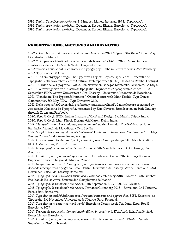1998: *Digital Type Design workshop.* 1-5 August. Llanes, Asturias, 1998. (Typerware). 1998: *Digital type design workshop.* December. Escuela Elisava. Barcelona. (Typerware). 1996: *Digital type design workshop.* December. Escuela Elisava. Barcelona. (Typerware).

## PRESENTATIONS, LECTURES AND KEYNOTES

2022: «Font Design that creates social values». Granshan 2022 "Signs of the times". 20-21 May. Literaturhaus. Munich.

2022: "Tipografía e identidad. Diseñar la voz de la marca". *Órbitas* 2022. Encuentro con creativos estelares. 18th March. Teatro Darymelia. Jaén.

2022: "Enric Crous-Vidal. A character in Typography". Lubalin Lectures series. 28th February 2022. Type Cooper. (Online) .

2021: "Re-thinking type design: The Typecraft Project". Keynote speaker at 11 Encontro de Tipografia. 26th November. Centro Cultura Contemporánea (CCC). Caldas da Rainha. Portugal. 2021: "El valor de la Tipografia". *Value*. 11th November. Bodegas Montecillo. Navarrete. La Rioja. 2021: "La investigación en el diseño de tipografia". Keynote at 7º Symposium Grafica. 8-10 September. EINA Centre Universitari d'Art i Disseny - Universitat Autònoma de Barcelona. 2021: "Pehchaan. The Typecraft Initiative", Online lecture with Ishan Koshla. Type Drives Communities. 8th May. TDC - Type Directors Club.

2021: De la tipografía: Curiosidad, profesión y multiculturalidad". Online lecture organized by Asociación Mexicana de Tipografía, moderated by Eric Olivares. Broadcasted on 30th January through Zoom and Facebook.

2020: *Type & Craft*. IICD / Indian Institute of Craft and Design. 3rd March. Jaipur, India. 2020: *Type & Craft*. Ishan Khosla Design. 6th March. Delhi, India.

2019: *Tipografía como herramienta para la comunicación*. Jornadas TipoGráfica. 1st June. Fundación Valentín de Maradiaga y Oya. Sevilla.

2019: *Graphic Art with high doses of Cholesterol*. Fontstand International Conference. 25th May. Ateneu Comercial do Porto. Porto, Portugal.

2019: *From research to Font design. A personal approach to type design*. 14th March. Auditorio ESAD. Matosinhos, Porto. Portugal.

2019: *La tipografia com una eina de transformació*. 9th March. Escola d'Art i Disseny, Esardi. Amposta.

2019: *Diseñar tipografía: un enfoque personal*. Jornadas de Diseño. 12th February. Escuela Superior de Diseño Region de Murcia. Murcia.

2018: *L'experiència àrab. El disseny de tipografia àrab des d'una perspectiva multicultural*. Jornades escriptures i tipografia. Eina, Centre Universitari de Disseny i Art de Barcelona. 23rd November. Museu del Disseny. Barcelona.

2018: *Tipografía, una revolución silenciosa*. Jornadas Gutenberg 2018 – Madrid. 25th October. Facultad de Bellas Artes. Universidad Complutense de Madrid.

2018: *Tipografía, la revolución silenciosa*. 26th September. FAD – UNAM. México.

2018: *Tipografía, la revolución silenciosa.* Jornadas Gutenberg 2018 – Barcelona. 2nd January. Escola Bau. Barcelona.

2017: *Type design and Multilingualism. Personal concerns and approaches*. 8 ET. Encontro de Tipografia. 3rd November. Universidad de Algarve. Faro, Portugal.

2017: *Type design in a multicultural world.* Barcelona Design week. 7th June. Espai Roc35. Barcelona, 2017.

2017: *Disseny de tipografia: Comunicació i diàleg intercultural*. 27th April. Reial Acadèmia de Bones Lletres. Barcelona.

2016: *Diseñar tipografía: una enfoque personal.* 18th November. Estación Diseño. Escuela Superior de Diseño. Granada.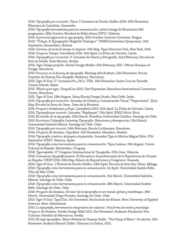2016: *Tipografía por vocación*. Tipos: I Certamen de Diseño Gráfico 2016. 10th November. Filmoteca de Cantabria. Santander.

2016: *Tipografía herramienta para la comunicación,* within Design & Illlustration MA programme. 28th October. Facultad de Bellas Artes (UPV). Valencia.

2016: *A personal approach to typography*. 20th October. Instituto Cervantes. Prague.

2016: "Tubqal, A Typographic Maghribi Trialogue". TMM3 Amsterdam Symposium. 10th September. Amsterdam, Holland

2016: *Carmen, from book design to lingerie.* 19th May. Type Directors Club, New York, 2016. 2016: *Proyecto Tubqal*. Lletraferits 2016. 16th April. La Pobla de Cérvoles. Lleida.

2016: *Tipografía por vocación*. V Jornadas de Diseño y Fotografía. 22nd February. Escuela de Arte de Sevilla. Sede Nervión. Sevilla.

2016: *Type Design projects.* Global Design Master. 10th February. IED / Istituto Europeo di Design. Barcelona.

2015: *Procesos en el disseny de tipografia*. Meeting with students. 23rd November. Escola Superior de Disseny Pau Gargallo. Badalona. Barcelona.

2015: *Type & Soul*. 2ª Jornadas Pre\_DiCa. TEA. 15th November. Santa Cruz de Tenerife. Canary Islands, Spain.

2015. *What's your type.* DrupalCon 2015. 23rd September. Barcelona International Convention Centre. Barcelona.

2015. *Type & Soul.* 28th August. Ishan Khosla Design Studio. New Delhi. India.

2015: *Tipografía por vocación*. Jornadas de Diseño y Comunicación Visual "Trayectorias". 22nd May. Escuela de Artes de Jerez. Jerez de la Frontera.

2015: *Proyecto Andalusian y Rioja*. Lletraferits 2015. 25th April. La Pobla de Cérvoles. Lleida.

2015: *Tipografia per vocació*. Jornades "Expliquem". 15th April. ESAD Alcoi. Alcoi.

2015: *El sentido de la tipografía*. 25th March. Pontificia Universidad Católica. Santiago de Chile.

2015: *Escritura-Caligrafía-Lettering-Tipografía. Relaciones y divergencias*. 23rd March.

Universidad Gabriela Mistral. Santiago de Chile. Chile.

2015: *Tipografia per vocació.* 24th February. Escola La Massana. Barcelona.

2014. *Proyecto Al-Andalus*. TypoMad. 15th November. Matadero. Madrid.

2014: *Tipografía cinética: del papel a la pantalla*. Jornadas Type in Motion Miguel Silva. 27th September. ESAT. Valencia, Spain.

2014: *Tipografía como herramienta para la comunicación*. Tipos Latinos. 19th August. Centro Cultural de España. Montevideo, Uruguay.

2014: *Typerepublic*. 6º Congreso Internacional de Tipografía. 20th June. Valencia.

2014: *Comunicar tipográficamente*. III Encuentro de profesionales de la Experiencia de Usuario en España. UXSP 2014. 24th May. Palacio de Exposiciones y Congresos. Granada.

2014: *Type & Soul*. 2 Festival de Diseño Gráfico. 24th April. Escuela de Arte San Telmo. Málaga. 2014: *Tipografía como herramienta para la comunicación*. 1st April. Universidad Andrés Bello. Viña del Mar. Chile.

2014: *Tipografía como herramienta para la comunicación*. 31st March. Universidad Gabriela Mistral. Santiago de Chile. Chile.

2014: *Tipografía como herramienta para la comunicación*. 18th March. Universidad Andrés Bello. Santiago de Chile. Chile.

2014: *Proyecto Al-Andalus. El valor de la tipografía en un mundo global y multilingue*. 18th March. Universidad Diego Portales. Santiago de Chile. Chile.

2013: *Type & Soul*. TypoClub. 5th December. Hochschule der Künste. Bern University of Applied Sciences. Bern. Switzerland.

2013: *La tipografía, herramienta integradora de culturas. Una forma de unión y mestizaje. Proyecto Al-Andalus*. Sevilla Design Walk 2013. 21st November. Auditorio Fundación Tres Culturas. Pabellón de Marruecos. Sevilla.

2013: *El viaje tipográfico*. Blanc/Festival de Disseny Gràfic. 'The Diary of Blanc'. 5a edición. 15th November. Auditori Eduard Toldrà. Vilanova i la Geltrú, 2013.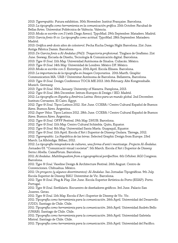2013: *Typerepublic.* Futura exhibition. 30th November. Institut Française. Barcelona.

2013: *La tipografía como herramienta en la comunicación gráfica*. 25th October. Facultad de Bellas Artes. Universitat Politècnica de València. Valencia.

2013: *Moda se escribe con S* (with Diego Areso). TypoMad. 29th September. Matadero. Madrid. 2013: *Garcia fonts & co: La tipografía como actitud*. TypoMad. 28th September. Matadero. Madrid.

2013: *Gràfica amb dosis altes de colesterol*. Pecha Kucha Design Night Barcelona. 21st June. Antiga Fàbrica Damm. Barcelona.

2013: *De Garcia fonts a Al-Andalus (PhD). Trayectoria profesional*. Tinglaos de Grafismo. 21st June. Seeway, Escuela de Diseño, Tecnología & Comunicación digital. Barcelona.

2013: *Type & Soul.* 11th May. Universidad Autónoma de Sinaloa. Culiacán. México.

2013: *Type & Soul.* 14th May. Universidad de Londres. México DF. México.

2013: *Moda se escribe con S*. Entretipos. 20th April. Escola Elisava. Barcelona.

2013: *La importancia de la tipografía en Imagen Corporativa*. 20th March. Graphic

Communication MA. UAB / Universitat Autónoma de Barcelona. Bellaterra, Barcelona.

2013: *Type & Soul.* Design Conference TOCA ME 2013. 16th February. Alte Kongresshalle. Munich. Germany.

2013: *Type & Soul.* 30th January. University of Navarra. Pamplona, 2013.

2012: *Type & Soul*. 18th December. Istituto Europeo di Design / IED. Madrid.

2012: *La tipografía en España y América Latina: Retos para un mundo global.* 2nd December. Instituto Cervantes. El Cairo. Egypt.

2012: *Type & Soul*. Tipos Latinos 2012. 31st June. CCEBA / Centro Cultural Español de Buenos Aires. Buenos Aires. Argentina.

2012: *Super Veloz.* Tipos Latinos 2012. 28th June. CCEBA / Centro Cultural Español de Buenos Aires. Buenos Aires. Argentina.

2012: *Type & Soul.* OFFF Festival. 19th May. DHUB. Barcelona.

2012: *Type & Soul.* 11th May. Centro Cultural Itchimbía. Quito, Equator.

2012: *Type & Soul.* 8th May. Universidad Santa María. Guayaquil, Equator.

2012: *Type & Soul.* 11th April. Escola d'Art i Superior de Disseny Ondara. Tàrrega, 2012.

2012: *Typerepublic. La República de las letras*. Selected Graphic Design from Europe. 23rd March. La Alhóndiga. Bilbao, 2012.

2012: *La tipografía integradora de cultures, una forma d'unió i mestisatge. Projecte Al-Ándalus*. Jornades 03. "Comunicació visual i societat". 5th March. Escola d'Art i Superior de Disseny Serra i Abella. CaixaFòrum. Barcelona.

2011: *Al Andalus. Multilingualism from a typographical perspective*. 6th October. AGI Congress. Barcelona.

2011: *Type & Soul.* Vaseline Design & Architecture Festival. 26th August. Centro de Convenciones. Chihuahua. México.

2011: *Un proyecto (y algunos divertimentos): Al-Andalus*. 3as Jornadas Tipográficas. 9th July. Escola Superior de Disseny BAU. Universitat de Vic. Barcelona.

2011: *Type & Soul*. Plug & Play. 21st June. Escola Superior Artística do Porto (ESAP). Porto. Portugal.

2011: *Type & Soul*. Serifalaris. Encuentro de diseñadores gráficos. 3rd June. Palacio San Joseren. Getxo.

2011: *Type & Soul.* 11th May. Escola d'Art i Superior de Disseny de Vic. Vic.

2011: *Tipografía como herramienta para la comunicación.* 26th April. Universidad del Desarrollo (UDD). Santiago de Chile. Chile.

2011: *Tipografía como herramienta para la comunicación*. 26th April. Universidad Andrés Bello (UNAB). Santiago de Chile. Chile.

2011: *Tipografía como herramienta para la comunicación.* 26th April. Universidad Gabriela Mistral. Santiago de Chile. Chile.

2011: *Tipografía como herramienta para la comunicación*. 25th April. Universidad del Pacífico.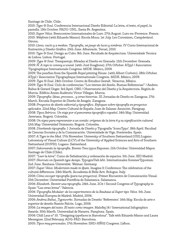Santiago de Chile. Chile.

2010: *Type & Soul*. Conferencia Internacional Diseño Editorial: La letra, el texto, el papel, la pantalla. 13th October. FADU-UNL, Santa Fe. Argentina.

2010: *Super Veloz.* Reencontres Internationales de Lure. 27th August. Lurs-en-Provence. France. 2010: *Webfonts* (with Eduardo Manso). Escola Muuu. 1st July. Les Coromines, Campdevànol. Girona.

2010: *Lleno, vacío y a medias. Tipografía, un juego de luces y sombras*. IV Curso Internacional de Ilustración y Diseño Gráfico. 25th June. Albarracín. Teruel, 2010.

2010: *Type & Soul*. Design ao Cubo. 8th June. Facultade de Arquitectura. Universidade Tecnica de Lisboa. Lisbon. Portugal.

2009: *Type & Soul.* Trampantojo. Miradas al Diseño en Granada. 12th December. Granada. 2009: *Ñ. A sign to convey a sound.* (with José Scaglione). 27th October. ATypI / Association Tipographique Internationale Congress. MIDE. México, 2009.

2009: The punches from the Spanish Royal printing House. (with Albert Corbeto). 28th October. ATypI / Association Tipographique Internationale Congress. MIDE. México, 2009.

2009: *Type & Soul.* 24th October. Centro de Estudios Gestalt. Veracruz, México.

2009: *Type & Soul*. Ciclo de conferencias "Los viernes del diseño. Buenas Referencias" / Andreu Balius & Gerard Unger. 3rd April. OBS / Observatorio del Diseño y la Arquitectura. Región de Murcia. Edificio Anexo Auditorio Víctor Villegas. Murcia.

2009: *Tipografía: Ideas, procesos… y otras historias.* III Jornadas de Diseño en Zaragoza. 17th March. Escuela Superior de Diseño de Aragón. Zaragoza.

2008: *Proyectos de diseño editorial y tipográfico. Enfoques sobre tipografía en proyectos aplicados.* 22nd May. Centro Cultural de España Juan de Salazar. Asunción. Paraguay. 2008: *Tipos Ibéricos. Un viaje por el panorama tipográfico español.* 14th May. Universidad Javeriana. Bogotá. Colombia.

2008: *Un signo para representar a un sonido: orígenes de la letra ñ y su significación cultural.* 12th May. Universidad Uniminuto. Bogotá. Colombia.

2008. *Diseñando tipografía.* I Jornada de Diseño y Tipografía 'IconoTypo'. 18th April. Facultad de Ciencias Sociales y de la Comunicación. Universidade de Vigo. Pontevedra. Spain.

2007: *A Type in the Med.* 17th November. University of Southern Switzerland (USI) Lugano. Laboratory of Visual Culture (LCV) of the University of Applied Sciences and Arts of Southern Switzerland (SUPSI). Lugano. Switzerland.

2007: *Saboreando la tipografía.* Evento Tres typos Exponen. 11th October. Universidad Mayor. Santiago de Chile (Chile).

2007: *"Leer la letra".* Curso de Señalización y ordenación de espacios. 5th June. IED Madrid. 2007: *Shorcuts on Spanish type design*. TypograVieh lebt. Internationales SommerTyposium. 2nd June. Bauhaus-Universität. Weimar. Germany.

2007: *Super Veloz: Modernism made in spain*. Imagine It Conference: The celebration of the cultural differences. 24th March. Accademia di Belle Arti. Bologna. Italy.

2006: *Cómo escoger tipografía (para tus proyectos).* Primer Encuentro de Comunicación Visual. 15th December. Universidad Pontificia de Salamanca. Salamanca.

2006: *Elizabeth. Revivir una tipografía.* 24th June. 2Cit / Second Congress of Typography in Spain "Las otras letras". Valencia.

2006: *Tipografía Modular: de los experimentos de la Bauhaus al Super tipo Veloz*. 5th June. Universidad Europea de Madrid. Madrid, 2006.

2006: *Andreu Balius\_Typeworks.* Xornadas de Deseño 'Referentes'. 16th May. Escola de arte e superior de deseño Ramón Falcón. Lugo, 2006.

2006: *La imagen del texto. El texto como imagen*. Malofiej 14 / International Infographics Awards. 30th March. Universidad de Navarra. Pamplona. Spain.

2006: Chill Laus nº 10. "Designing typefaces in Barcelona". Talk with Eduardo Manso and Laura Messeguer. 22nd February. ADG-FAD. Barcelona.

2005: *Tipos muy personales*. 17th November. SND-HÑ02 Congress. Lisbon.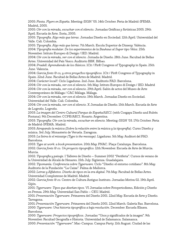2005: *Fiesta. Flyers en España*. Meeting-SIGN '05. 14th October. Feria de Madrid-IFEMA. Madrid, 2005.

2005: *Oír con la mirada, escuchar con el silencio.* Jornadas Gráficas y Artísticas 2005. 29th April. Escuela de Arte. Soria, 2005.

2005: *Tipografía. Algo más que letras*. Jornadas Diseño en Sociedad. 12th April. Universidad del Valle. Cali. Colombia.

2005: *Tipografía. Algo más que letras*. 7th March. Escola Superior de Disseny. València.

2004: *Tipografía modular. De los experimentos de la Bauhaus al Super tipo Veloz*. 25th November. Istituto Europeo di Design / IED. Madrid.

2004: *Oír con la mirada, ver con el silencio.* Jornada de Diseño. 28th June. Facultad de Bellas Artes. Universidad del País Vasco. Auditorio BBK. Bilbao.

2004: *Pradell: Aprendiendo de los clásicos*. 1Cit / First Congress of Typography in Spain. 25th June. Valencia.

2004: *Garcia fonts & co, y otros proyectos tipográficos.* 1Cit / First Congress of Typography in Spain. 22nd June. Facultad de Bellas Artes de Madrid. Madrid.

2004: *Caràcter local?.* Ciclo Ligaduras. 2nd June. Auditorio FAD. Barcelona.

2004: *Oír con la mirada, ver con el silencio*. 5th May. Istituto Europeo di Design / IED. Madrid

2004: *Oír con la mirada, ver con el silencio*. 29th April. Salón de actos del Museo de Arte Contemporáneo de Málaga / CAC Málaga. Málaga.

2004: *Oír con la mirada, ver con el silencio.* 19th March. Jornadas Diseño en Sociedad. Universidad del Valle. Cali. Colombia.

2004: *Oír con la mirada, ver con el silencio*. X Jornadas de Diseño. 15th March. Escuela de Arte de Logroño. Logroño.

2003: *La imagen del Centro Cultural Parque de España/AECI*. (with Cosgaya Diseño and Rubén Fontana). 9th December. CCPE/AECI. Rosario. Argentina.

2003: *Tipografía: Oír con la mirada, escuchar en silencio.* Meeting-SIGN '03. 17th October. Feria de Madrid-IFEMA. Madrid.

2003: *Atrapando la música (Sobre la relación entre la música y la tipografía)*. Curso Diseño y música. 3rd July. Monasterio de Veruela. Zaragoza.

2003: *La lletra és el missatge (Type is the message)*. Ligaduras. 5th May. Auditori del FAD. Barcelona.

2003: *Type at work: a book presentation.* 20th May. FNAC. Plaça Catalunya. Barcelona. 2002: *Garcia fonts & co. Un proyecto tipográfico.* 12th November. Escuela de Arte de Murcia. Murcia.

2002: *Tipografia y paisaje.* I Talleres de Diseño – Summer 2002 "Periferia". Cursos de verano de la Universidad de Alcalá de Henares. 15th July. Sigüenza. Guadalajara.

2002: *Tipomanía. Conferencia sobre Typerware.* Ciclo "Diseño: el entorno cotidiano". 8th May. Auditorio de la Fundación "La Caixa". Palma de Mallorca.

2002: *Letras y Alfabetos. Diseño de tipos en la era digital*. 7th May. Facultad de Bellas Artes. Universidad Complutense de Madrid. Madrid.

2002: *Garcia fonts & co.* Centro de Cultura Antiguo Instituto. Jornadas Motiva 02. 19th April. Gijón.

2001: *Typerware: Tipos que diseñan tipos.* VI Jornadas sobre Fotoperiodismo, Edición y Diseño en Prensa. 29th May. Universidad San Pablo – CEU. Madrid.

2001: *Presentación Typerware*. Primavera del Diseño 2001. 22nd May. Escuela de Arte y Diseño. Tarragona.

2001: *Presentación Typerware.* Primavera del Diseño 2001. 22nd March. Galería Ras. Barcelona. 2000: *Typerware: Una historia tipográfica a baja resolución.* December. Escuela Elisava. Barcelona.

2000: *Typerware: Proyectos tipográficos*. Jornadas "Usos y significados de la imagen". 9th November. Facultad Geografía e Historia. Universidad de Salamanca. Salamanca.

2000: *Presentación "Typerware".* Mac-Campus. Campus Party. 11th August. Ciudad de las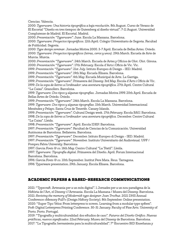Ciencias. Valencia.

2000: *Typerware: Una historia tipográfica a baja resolución.* 8th August. Curso de Verano de El Escorial "Diseño en tres tiempos: de Gutemberg al diseño virtual". 7-11 August. Universidad Complutense de Madrid. El Escorial. Madrid.

2000: *Presentación "Typerware".* June. Escola La Massana. Barcelona.

2000: *Typerware: Proyectos tipográficos.* 12th April. Colegio Universitario de Segovia. Facultad de Publicidad. Segovia.

2000: *Type design seminar*. Jornadas Motiva 2000. 3-7 April. Escuela de Bellas Artes. Oviedo. 2000: *Typerware: Proyectos tipográficos (letras, ceros y unos).* 29th March. Escuela de Arte de Murcia. Murcia.

2000: *Presentación "Typerware"*. 24th March. Escuela de Artes y Oficios de Olot. Olot. Girona. 2000: *Presentación "Typerware"*. 17th February. Escola d'Arts i Oficis de Vic. Vic.

1999: *Presentación "Typerware".* 21st July. Istituto Europeo di Design - IED. Madrid.

1999: *Presentación "Typerware".* 19th May. Escuela Elisava. Barcelona.

1999: *Presentación "Typerware".* 6th May. Escuela Municipal de Arte. La Garriga.

1999: *Presentación "Typerware".* Primavera del Disseny. 3rd May. Escola d'Arts i Oficis de Vic.

1999: *De la sopa de lletres a l'ordinador: una aventura tipogràfica*. 27th April. Centre Cultural "La Caixa". Granollers. Barcelona.

1999: *Typerware: Dos tipos y algunas tipografías.* Jornadas Motiva 1999. 20th April. Escuela de Bellas Artes de Oviedo. Oviedo.

1999: *Presentación "Typerware".* 24th March. Escola La Massana. Barcelona.

1999: *Typerware: Dos tipos y algunas tipografías*. 15th March. Universidad Internacional Menéndez y Pelayo. Santa Cruz de Tenerife. Canary Islands.

1999: *Presentación "Typerware".* Cultural Design week. 17th February. Escola BAU. Barcelona. 1998: *De la sopa de lletres a l'ordinador: una aventura tipogràfica.* December. Centre Cultural "La Caixa". Lleida.

1998: *Presentación "Typerware"*. April. Escola IDEP. Barcelona.

1997: *Presentación "Typerware".* Facultad de Ciencias de la Comunicación. Universidad Autónoma de Barcelona. Bellaterra. Barcelona.

1997: *Presentación "Typerware".* December. Istituto Europeo di Design - IED. Madrid.

1997: *Presentación "Typerware".* November. Instituto Universitario del Audiovisual. UPF / Pompeu Fabra University. Barcelona

1997: *Garcia Fonts & co.* 16th May. Centro Cultural "La Tèxtil". Lleida.

1997: *Typerware: Tipografía digital.* Primavera del Diseño. April. Forum Internacional Barcelona. Barcelona.

1996: *Garcia Fonts & co*. 10th September. Institut Pere Mata. Reus. Tarragona. 1996: Typerware presentation. 29th January. Escola Elisava. Barcelona.

# ACADEMIC PAPERS & BASED-RESEARCH COMMUNICATIONS

2021: "Typecraft. Artesania per a un món digital". 1 Jornades per a un nou paradigma de la Història de l'Art, el Disseny i l'Artesania. Escola La Massana / Museu del Disseny. Barcelona. 2021: *Reviving the memory of Modernist type designer Joan Trochut*. 2021 DHS Annual Conference «Memory Full?» (Design History Society). 8th September. Online presentation. 2020: "Super Tipo Veloz: From letterpress to screen. Learning from a modular type system". Post-Digital Letterpress Printing Conference. 30-31 January. Faculty of Fine Arts. University of Porto. Porto. Portugal.

2019: "Tipografía y multiculturalidad: dos estudios de caso". *Futuros del Diseño Gráfico. Nuevas prácticas, nuevos significados*. 22nd February. Museu del Disseny de Barcelona. Barcelona. 2017: "La Tipografía: herramienta para la multiculturalidad". 7º Encuentro BID Enseñanza y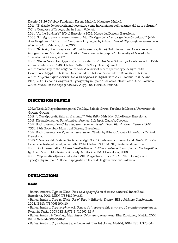Diseño. 23-26 October. Fundación Diseño Madrid. Matadero. Madrid.

2016: "El diseño de tipografía multiescritura como herramienta política (más allá de lo cultural)". 7 Cit / Congress of Typography in Spain. Valencia.

2014: "At the Butcher's". ATypI Barcelona 2014. Museu del Disseny. Barcelona.

2008: "Un signo para representar un sonido. El origen de la ñ y su significación cultural". (with José Scaglione). 3 Cit / Third Congress of Typography in Spain *Glocal. Tipografía en la era de la globalización*. Valencia, June, 2008.

2007: "Ñ. A sign to convey a sound". (with José Scaglione). 3rd International Conference on typography and Visual communication: "From verbal to graphic". University of Macedonia. Thessaloniki. Greece, 2007.

2006: "Super Veloz. Fast type in spanish modernism". *Fast type / Slow type* Conference. St. Bride annual conference. 16-18 October. Custard Factory. Birmingham. UK.

2006: "What's up in the neighbourhood? A review of recent spanish type design". 50th

Conference ATypI '06 Lisbon. Universidade de Lisboa. Falcultade de Belas Artes. Lisbon.

2006: *Proyecto Superveloz.net. De lo analogico a lo digital* (with Alex Trochut, Inklude and Flan). 2Cit / Second Congress of Typography in Spain "Las otras letras". 24th June. Valencia.

2005: *Pradell. At the edge of oblivion*. ATypI '05. Helsinki. Finland.

# DISCUSSION PANELS

2022: Work & Play exhibition panel. 7th May. Sala de Graus. Facultat de Lletres, Universitat de Girona. Girona.

2019: "¿Qué tipografía falta en el mundo?" *WhyTalks*. 16th May. SohoHouse. Barcelona.

2019: Discussion panel. Fontstand conference. 21st April. Zagreb, Croacia.

2017: Book presentation *Crits a la paret i poemes visuals. Josep Pla Narbona. Cartells 1947- 2004*. 29th November. Museu del Disseny. Barcelona.

2012: Book presentation *Tipos de imprenta en España*, by Albert Corbeto. Llibreria La Central. Barcelona.

2010: "Desafíos del diseño editorial en el siglo XXI". Conferencia Internacional Diseño Editorial: La letra, el texto, el papel, la pantalla. 12th October. FADU-UNL, Santa Fe. Argentina.

2008: Book presentation: *Ricard Giralt-Miracle.El diálogo entre la tipografía y el diseño gráfico*, by Josep Martín Montesinos. 3rd July. Auditori del FAD. Barcelona, 2008.

2008: "Tipografía española del siglo XVIII. Proyectos en curso". 3Cit / Third Congress of Typography in Spain "Glocal. Tipografía en la era de la globalización". Valencia.

# PUBLICATIONS

#### Books

• Balius, Andreu. *Type at Work. Usos de la tipografía en el diseño editorial*. Index Book. Barcelona, 2003. ISBN 9788489994621.

• Balius, Andreu. *Type at Work. Use of Type in Editorial Design*. BIS publishers. Amsterdam, 2003. ISBN: 9789063690410.

• Balius, Andreu. *Typographisme 2. Usages de la typographie a travers 60 creations graphiques*. Pyramid. París, 2003. ISBN: 978-2-910565-32-9

• Balius, Andreu & Trochut, Àlex. *Super-Veloz, un tipo moderno*. Blur Ediciones, Madrid, 2004. ISBN: 978-84-609-3648-0.

• Balius, Andreu. *Super-Veloz (type specimen)*. Blur Ediciones, Madrid, 2004. ISBN: 978-84-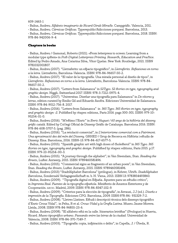609-1463-1

• Balius, Andreu. *Alfabeto imaginario de Ricard Giralt Miracle*. Campgràfic. Valencia, 2011.

• Balius, Andreu. *Cárnicas Gràficas*. Typerepublic/Adicciones porquesí. Barcelona, 2013.

• Balius, Andreu. *Cárnicas Gràficas*. Typerepublic/Adicciones porquesí. Barcelona, 2018. ISBN: 978-84-942006-9-4

#### Chapters in books

• Balius, Andreu / Gamonal, Roberto (2021). «From letterpress to screen: Learning from a modular type system» in *Post-Digital Letterpress Printing. Research, Education and Practice.*  Edited by Pedro Amado, Ana Catarina Silva, Vítor Quelas. New York: Routledge, 2021. ISBN 9781032001807.

• Balius, Andreu (2017). "Lletraferits: un espacio tipográfico", in *Lletraferits. Reflexiones en torno a la letra.* Lletraferits, Barcelona-Valencia. ISBN: 978-84-96657-50-2.

• Balius, Andreu (2017). "El valor de la tipografía. Una mirada personal al diseño de tipos", in *Lletraferits. Reflexiones en torno a la letra*. Lletraferits, Barcelona-Valencia. ISBN: 978-84- 96657-50-2.

• Balius, Andreu (2017). "Letters from Salamanca" in *52Typo. 52 stories on type, typography and graphic design*. Niggli, Switzerland 2017. ISBN: 978-3-7212-0975-4.

• Balius, Andreu (2017). "Universitas. Diseñar una tipografía para Salamanca" in *De vítores y letras*, edition curated by Emilio Gil and Eduardo Azofra. Ediciones Universidad de Salamanca. ISBN: 978-84-9012-756-8. 2017.

• Balius, Andreu (2016). "Letters from Salamanca" in *365 Typo. 365 stories on type, typography and graphic design -2*. Published by: étapes: editions, Paris 2016. pags 300-301. ISBN: 979-10- 95254-01-0.

• Balius, Andreu (2016). "M'estimo l'Enric" in *Enric Huguet / 60 anys de la història del disseny gràfic català.* Edited by Col·legi Oficial de Disseny Gràfic de Catalunya. Barcelona 2016. ISBN: 978-84-608-5707-5. (pag. 286).

• Balius, Andreu (2016). "La retolació comercial", in *L'interiorisme comercial com a Patrimoni. Una aproximació des del món del Disseny.* GRHED / Grup de Recerca en Història i estudis de Disseny. Eina. Barcelona, 2016. ISBN-13: 978-84-617-6577-5.

• Balius, Andreu (2015). "Spanish graphic art with high doses of cholesterol" in *365 Typo. 365 stories on type, typography and graphic design*. Published by: étapes: editions, Paris 2015. p.17. ISBN: 979-10-95254-00-3.

• Balius, Andreu (2015). "A journey through the alphabet", in Van Steendam, Stan. *Reading the streets*, Luster. Antwerp, 2015. ISBN: 9789460581496.

• Balius, Andreu (2015). "Commercial signs as fragments of an urban poem", in Van Steendam, Stan. *Reading the streets*, Luster. Antwerp, 2015. ISBN: 9789460581496.

• Balius, Andreu (2013) "StadtAlphabet Barcelona" (prólogue), in Kehrer, Ulrich. *StadtAlphabet Barcelona*, Sonderzahl Verlagsgesellschaft m. b. H. Viena, 2013. ISBN 13: 9783854493860.

• Balius, Andreu (2009). "Tipografía digital en España. Apuntes para un estudio crítico", in *Imprenta Real. Fuentes de la tipografía española*. Ministerio de Asuntos Exteriores y de Cooperación. aecid. Madrid, 2009. ISBN: 978-84-8347-102-9.

• Balius, Andreu (2009). "Criterios para la elección de tipografía", in Arrausi, J.J (ed.). *Diseño e impresión de la Tipografía*. Ediciones CPG. Barcelona, 2009. ISBN:978-84- 931329-7-2.

• Balius, Andreu (2008). "Lletres Llatines. Estudi i descripció tècnica dels dissenys tipogràfics d'Enric Crous Vidal", in Pelta, R et al. *Crous-Vidal y la Grafía Latina*. Museu Jaume Morera. Lleida, 2008. ISBN 978-84-96855-23-6.

• Balius, Andreu (2008). "El alfabeto está en la calle. Itinerarios letristas" (Prologue) in Huerta, Ricard. *Museo tipográfico urbano. Paseando entre las letras de la ciudad*. Universidad de Valencia, 2008. ISBN: 978-84-370-7149-7.

• Balius, Andreu (2003). "Tipografía: copia, inspiración o delito", in Capella, J. / Úbeda, R.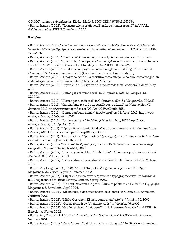*COCOS, copias y coincidencias*. Electa, Madrid, 2003. ISBN: 9788481563634. • Balius, Andreu (2002). "Transgressions gràfiques. El món de l'underground", in VV.AA. *Gràfiques ocultes*, KRTU, Barcelona, 2002.

#### Articles

• Balius, Andreu. "Diseño de fuentes con valor social". Revista EME. Universitat Politècnica de València UPV. https://polipapers.upv.es/index.php/eme/issue/current e-ISSN: 2341-3018. ISSN: 2253-6337.

• Balius, Andreu (2016). "Meat Love" in *Yuca magazine*. n 1, Barcelona, June 2016. p.90-95.

• Balius, Andreu (2015). "Spanish butcher's papers" in *The Ephemerist.* Journal of the Ephemera society. n 171. Winter 2015. University of Reading. p. 14-17. ISSN: 0309-4383.

• Balius, Andreu (2013). "El valor de la tipografia en un món global i multilingüe". in *Temes de Disseny*, n. 29. Elisava. Barcelona, 2013 (Catalan, Spanish and English edition).

• Balius, Andreu (2013). "Tipografía Árabe. La escritura como dibujo, la palabra como imagen" in *EME Magazine*. n. 1. 2013. Universitat Politècnica de València.

• Balius, Andreu (2012). "Super Veloz. El espíritu de la modernidad" in *Fedrigoni Club* #3. May, 2012.

• Balius, Andreu (2012). "Letras para el mundo real" in Cultura/s n. 506. *La Vanguardia*. 29.02.12.

• Balius, Andreu (2012). "Lletres per al món real" in Cultura/s n. 506. *La Vanguardia*. 29.02.12.

• Balius, Andreu (2012). "Garcia fonts & co. La tipografía como actitud" in *Monográfica* #2. January, 2012. http://www.monografica.org/02/Art%C3%ADculo/3581

• Balius, Andreu (2012). "Letras con buen humor" in *Monográfica* #3. April, 2012. http://www. monografica.org/03/Opinión/5142

• Balius, Andreu (2012). "La letra callejera" in *Monográfica* #4. July, 2012. http://www. monografica.org/04/Opinión/6775

• Balius, Andreu (2011). "Tipografía y sostenibilidad. Más allá de la anécdota" in *Monográfica* #1. October, 2011. http://www.monografica.org/01/Opinión/10

• Balius, Andreu (2011). "Letras latinas, Tipos latinos" (prologue), in *Latinotype. Latin American fonts digital foundry* (Vol.1). Chile, 2011.

• Balius, Andreu (2010). "Carmen". in *Tipo elige tipo. Dieciséis tipógrafos nos enseñan a elegir tipografías.* Tipo e Editorial. Madrid, 2010.

• Balius, Andreu (2009). "Buenas y malas letras" in *Articulado. Opiniones y reflexiones sobre el diseño.* ADCV. Valencia, 2009.

• Balius, Andreu (2009). "Letras latinas, tipos latinos" in *I+Diseño* n.01. Universidad de Málaga. 2009.

• Balius, A. y Scaglione, J (2008). "A brief story of ñ. A sign to convey a sound". in *Typo* Magazine n. 32. Czech Republic. Summer 2008.

• Balius, Andreu (2007). "SuperVeloz: a creative response to a typographic crisis" in *Ultrabold* n.2. The journal of St. Bride Library, London. Spring 2007.

• Balius, Andreu (2006). "Un conflicto contra la pared. Murales políticos en Belfast" in *Copyright* Magazine n.5. Barcelona, April 2006.

• Balius, Andreu (2003). "MediaVaca, o de donde nacen los cuentos" in *GRRR* n.12. Barcelona, Autumm 2003.

• Balius, Andreu (2002). "Mieke Gerritzen. El texto como manifiesto" in *Visual* n. 96. 2002.

• Balius, Andreu (2002). "Garcia fonts & co. Un último adiós" in *Visual* n. 96. 2002.

• Balius, Andreu (2002). "Gráfica plebeya. La tipografía en la literatura de cordel" in *GRRR* n.9. Barcelona, Winter 2002.

• Balius, A. y Arrausi, J. J (2001). "Entrevista a Christopher Burke" in *GRRR* n.8. Barcelona, Summer 2001.

• Balius, Andreu (2001). "Enric Crous-Vidal. Un carácter en tipografía" in *GRRR* n.7. Barcelona,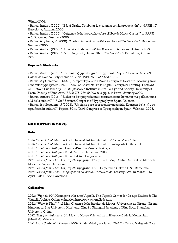Winter 2001.

• Balius, Andreu (2000). "Espai Gràfic. Combinar la elegancia con la provocación" in *GRRR* n.7. Barcelona, Autumm 2000.

• Balius, Andreu (2000). "Orígenes de la tipografía (sobre el libro de Harry Carter)" in *GRRR* n.6. Barcelona, Summer 2000.

• Balius, A. y Pelta, R (2000). "Carles Fontserè, un artista en libertad" in *GRRR* n.6. Barcelona, Summer 2000.

• Balius, Andreu (1999). "Universitas Salamantini" in *GRRR* n.5. Barcelona, Autumm 1999.

• Balius, Andreu (1999). "First things first, Un manifiesto" in *GRRR* n.5. Barcelona, Autumm 1999.

#### Papers & Abstracts

• Balius, Andreu (2021). "Re-thinking type design: The Typecraft Project". Book of Abstracts. Caldas da Rainha. Polytechnic of Leiria. ISBN 978-989-53390-3-7.

• Balius, A y Gamonal, R (2020). "Super Tipo Veloz: From Letterpress to screen. Learning from a modular type system". PDLP-book of Abstracts. Post-Digital Letterpress Printing. Porto 30- 31.01.2020. Published by i2ADS (Research Institute in Art, Design and Society University of Porto, Faculty of Fine Arts. ISBN: 978-989-54703-0-3. pp. 8-9. Porto, January 2020.

• Balius, Andreu (2016). "El diseño de tipografía multiescritura como herramienta política (más allá de lo cultural)". 7 Cit / Seventh Congress of Typography in Spain. Valencia.

• Balius, A y Scaglione, J (2008). "Un signo para representar un sonido. El origen de la 'ñ' y su significación cultural". Papers. 3Cit / Third Congress of Typography in Spain. Valencia, 2008.

# EXHIBITED WORKS

#### Solo

2014: *Type & Soul*. March–April. Universidad Andrés Bello. Viña del Mar. Chile.

2014: *Type & Soul*. March–April. Universidad Andrés Bello. Santiago de Chile. 2014.

2013: *Càrniques Gràfiques*. Centre d'Art La Panera. Lleida, 2013.

2013: *Càrniques Gràfiques*. Food Cultura. Barcelona, 2013.

2013: *Càrniques Gràfiques*. Espai Eat Art. Banyoles, 2013.

1996: *Garcia fonts & co. Un projecte tipogràfic*. 19 April – 19 May. Centre Cultural La Marineta. Mollet del Vallès. Barcelona.

1995: *Garcia fonts & co. Un projecte tipogràfic*. 19-30 September. Galería H2O. Barcelona. 1995: *Garcia fonts & co. Tipografies en conserva*. Primavera del Disseny 1995. 18 March – 13 April. Sala H. Vic. Barcelona.

## Collective

2022: "Vignelli 90". Homage to Massimo Vignelli. The Vignelli Center for Design Studies & The Vignelli Archive. Online exhibition https://www.vignelli.design.

2022: "Work & Play". 7-15 May. Claustre de la Facultat de Lletres, Universitat de Girona. Girona. Itinerant to: Sias University. Xinzheng, Xina i a Shanghai Academy of Fine Arts. Shanghai University. China.

2022: *Text-pontàniament*. 5th May—. Museu Valencià de la Il·lustració i de la Modernitat (MuVIM). València.

2021: *From Spain with Design* - FSWD / Identidad y territorio. CGAC - Centro Galego de Arte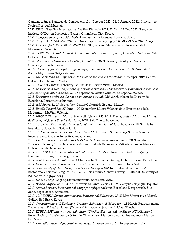Contemporánea. Santiago de Compostela. 15th October 2021 - 23rd January 2022. (Itinerant to: Aveiro, Portugal.Murcia).

2021: EIAB - East Sea International Art Pre-Biennale 2021. 22 Oct –13 Nov 2021. Gangwon Institute Of Design Promotion Gallery, Chuncheon City, Korea.

2021: "We, Ourselves, and Us". Festivalzentrum. 9–17 Octubre. Lucerne, Suissa.

2021: Tokyo TDC Exhibition 2021 at ginza graphic gallery (ggg). 1 April - 29 May 2021. Tokyo. 2021: *Es pot xafar la línia.* 28.06–05.07. MuVIM, Museu Valencià de la Il·lustració i de la Modernitat. València.

2020: *2020 Ulsan Oesol Hangeul Hanmadang International Typography Poster Exhibition.* 7-12 October. Ulsan, Korea.

2020: *Post-Digital Letterpress Printing Exhibition*. 30-31 January. Faculty of Fine Arts. University of Porto. Porto.

2020: *Handcraft for the digital: Type design from India*. 20 December 2019 – 8 March 2020. Atelier Muji. Ginza. Tokyo, Japan.

2019: *Nieva en Madrid. Exposición de tablas de snowboard recicladas.* 3-30 April 2019. Centro Cultural Sanchinarro. Madrid.

2019: *Taules & Taulons.* February. Galeria de la Revista Visual. Madrid.

2018: *La tilde de la ñ es una persona que cruza a otro lado. Diseñadores hispanoamericanos de la Alianza Gráfica Internacional.* 22-27 September. Centro Cultural de España. México.

2018: *Dissenyes o treballes. La nova comunicació visual 1980-2003.* Museu del Disseny de Barcelona. Permanent exhibition.

2018: *AGI Spain.* 22-27 September. Centro Cultural de España. México.

2018: *Retalls Tipogràfics.* 27 June – 02 September. Museu Valencià de la Il·lustració i de la Modernitat, MuVim. València.

2018: *APOLO 75 anys — Mostra de cartells i flyers 1993-2018: Retrospectiva dels últims 25 anys de disseny gràfic a la Sala Apolo*. June, 2018. Sala Apolo. Barcelona.

2018: 2018 *KSBDA St. Gallen International Invitational Exhibition*. February 9-18. Schule fur Gestaltung St. Gallen, Switzerland.

2018: *4º Encuentro de impresores tipográficos.* 26 January – 04 February. Sala de Arte La Recova. Santa Cruz de Tenerife. Canary Islands.

2018: *De Vítores y letras. Señas de identidad de Salamanca para el mundo*. 28 November 2017 – 28 January 2018. Sala de exposiciones Cielo de Salamanca. Patio de Escuelas Menores. Universidad de Salamanca.

2017: *2017 KSBDA Fall International Invitational Exhibition*. November 25-29. Sangsang Building, Hansung University, Korea.

2017: *Això és una paret pública!*. 20 October – 12 November. Disseny Hub Barcelona. Barcelona. 2017: *Designers with Character.* October-November. Instituto Cervantes. New York.

2017: *Asia Society of Basic Design and Art in Gwangju 2017*. International conference & Invitational exhibition. August 19-24, 2017. Asia Culture Center, Gwangju National University of Education Punghyandong.

2017: *Eina, 50 anys*. Logotips conmemoratius. Barcelona, 2017.

2017: *Batido Gráfico.* 26-30 June. Universidad Santa Maria / USM. Campus Guayaquil. Equator. 2017: *Across Borders. International design for refugee children*. Barcelona Design week. 8-16 June. Espai Roc35. Barcelona.

2017: *2017 KSBDA Spring International Invitational Exhibition*. 27-31 May. University of Seoul, Gallery Red Brick. Korea.

2017: *Crossing visions V. Ecology of Creation Exhibition*. 18 February – 21 March. Fukuoka Asian Art Museum. Fukuoka. Japan. (Typecraft initiative project – with Ishan Khosla)

2017: *KSBDA 2017 International exhibition "The Recollection and the Shape of Civilization".*  Korea Society of Basic Design & Art. 16-28 February. Mexico Korean Culture Center. Mexico DF. Mexico.

2016: *Nomadic Traces: Typographic Journeys.* 16 December 2016 – 16 September 2017.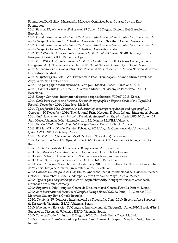Foundation Dar Bellarj, Marrakech, Marocco. Organised by and curated by the Khatt Foundation.

2016: *Polster. El pols del cartell al carrer*. 29 June – 28 August. Disseny Hub Barcelona. Barcelona.

2016: *Diseñadores con mucha letra / Designers with character/ Schriftkünstler–Buchstaben im grafikdesign.* April-June 2016. Instituto Cervantes. Stadtbibliothek Bremen. Germany.

2016: *Diseñadores con mucha letra / Designers with character/ Schriftkünstler–Buchstaben im grafikdesign.* October-November, 2016. Instituto Cervantes. Praha.

2016: *2016 KSBDA Barcelona International Invitational Exhibition*. 05-10 February. Istituto Europeo di Design / IED. Barcelona. Spain.

2015: *2015 KSBDA Fall International Invitation Exhibition.* KSBDA (Korea Society of Basic Design and Art). November-December, 2015. Seoul National University in Seoul, Korea. 2015: *Diseñadores con mucha letra.* Brief Festival 2015. October 2015. Museo Nacional de Artes Decorativas. Madrid.

2015: *Snapshots from 1985–1995.* Exhibition in FAAP (Fundação Armando Alvares Penteado) ATypI 2015. São Paulo, Brasil.

2015: *The good paper chain exhibition*. Fedrigoni. Madrid, Lisboa, Barcelona. 2015. 2015: *Taules & Taulons.* 25 June – 12 October. Museu del Disseny de Barcelona. DHUB. Barcelona.

2015: *Design Connects.* International poster design exhibition. VIDAK 2015. Korea.

2014: *Cada letra cuenta una historia. Diseño de tipografía en España desde 1990.* TypoMad Festival. November, 2014. Matadero, Madrid.

2014: *Types for the New Century: An exhibition of contemporary design and typography*. 9 October – 20 November, 2014. The National Print Museum. Dublin. Ireland. Itinerant exhibition. 2014: *Cada letra cuenta una historia. Diseño de tipografía en España desde 1990*. 10 June – 13 July. Museu Valencià de la Il·lustració i de la Modernitat MuVIM. Valencia.

2014: *WeMadeThis. Diseño Español*. Design Center | De Winkelhaak. Antwerp.

2013: *WeMadeThis. Diseño Español.* February, 2013. Virginia Commonwealth University in Qatar / VCUQATAR Gallery. Qatar.

2012: *Tipoferits*. 8-16 November. MOB (Makers of Barcelona). Barcelona.

2012: *Heaven and Hell.* AGI Special project. AGI Open & AGI Congress. October, 2012. Hong Kong.

2012: *Tipoferits*. Festa del Disseny. 28-30 September. Port Bou. Spain.

2011: *Font Market / Dezember Bücher.* December 2011. Zürich. Switzerland.

2011: *Sopa de Letras.* December 2011. Tienda Loreak Mendian. Barcelona.

2011: *Poster Store.* September – October. Galeria RAS. Barcelona.

2010: *Vivan los toros.* November 2010 – January 2011. Centre cultural La Nau de la Universitat de València. Llotja del Cànem, Universitat Jaume I. Castelló.

2010: *Carteles Contemporáneos Españoles.* Undécima Bienal Internacional del Cartel en México. October – November. Fuerte Guadalupe. Centro Cívico 5 de Mayo. Puebla. México.

2010: *Type in good shape/Schrift in Form.* September 2010. Klingspor Museum Offenbach. Offenbach am Main. Germany.

2010: *Enganxa't.* July – August. Centre de Documentació. Centre d'Art La Panera. Lleida. 2010: *24th International Biennial of Graphic Design Brno 2010*. 22 June – 24 October 2010. Moravian Gallery. Brno. Chech Republic.

2020: *Originals*. IV Congreso Internacional de Tipografía. June, 2010. Escola d'Art i Superior de Disseny de València / ESAD. Valencia. Spain.

2010: *Homenaje a Rousselot.* IV Congreso Internacional de Tipografía. June, 2010. Escola d'Art i Superior de Disseny de València / ESAD. Valencia. Spain.

2010: *Todo es diseño.* 24 June – 31 August 2010. Circulo de Bellas Artes. Madrid.

2010: *Hispaania tänapäeva plakat (Modern Spanish Poster)*. Haapsalu Graphic Design Festival. Estonia.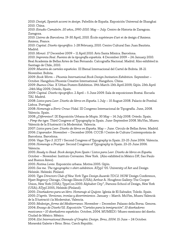2010: *Desigñ, Spanish accent in design.* Pabellón de España. Exposición Universal de Shanghai 2010. China.

2010: *Estudio Camaleón. 20 años, 1990-2010.* May – July. Centro de Historia de Zaragoza. Zaragoza.

2010: *Lletres de Barcelona.* 19-30 April, 2010. École supérieure d'art et de design d'Amiens. Amiens, France.

2010: *Capital. Diseño tipográfico*. 1-28 February, 2010. Centro Cultural San Juan Bautista. Madrid.

2010: *Monzó*. 17 December 2009 – 11 April 2010. Arts Santa Mònica. Barcelona.

2010: *Imprenta Real. Fuentes de la tipografía española.* 4 December 2009 – 24 January 2010. Real Academia de Bellas Artes de San Fernando. Calcografía Nacional. Madrid. Also exhibited in Santiago de Chile, 2010.

2009: *Muestra de carteles españoles.* III Bienal Internacional del Cartel de Bolivia. 18-21 November. Bolivia.

2009: *Book Worm – Phoenix International Book Design Invitation Exhibition.* September – October. Hangzhou Phoenix Creative International. Hangzhou. China.

2009: *Buenos Días.* X Urban Posters Exhibition. 19th March-13th April 2009, Gijón. 23th April -24th May 2009, Oviedo, Spain.

2009: *Capital. Diseño tipográfico*. 2 April – 5 June 2009. Sala de exposiciones Boxtai. Escuela TAI. Madrid.

2008: *Listos para Leer. Diseño de libros en España*. 1 July – 10 August 2008. Palacio de Pombal. Lisboa. Portugal.

2008: *Homenaje a Enric Crous-Vidal.* III Congreso Internacional de Tipografía. June, 2008. Valencia. Spain.

2008: *¿Diferentes?*. IX Exposición Urbana de Mupis. 30 May – 14 July 2008. Oviedo. Spain.

• *Pimp the type.* Third Congress of Typography in Spain. June-September 2008. MuVim, Museu Valencià de la Il·lustració i la Modernitat. Valencia.

2007: *Listos para Leer. Diseño de libros en España.* May – June. Circulo de Bellas Artes. Madrid. 2006: *L'aparador*. November – December 2006. CCCB / Centre de Cultura Contemporània de Barcelona. Barcelona.

2006: *Vaya Tipo 3*. 2CIT / Second Congress of Typography in Spain. 23-25 June 2006. Valencia. 2006: *Homenaje a Frutiger.* Second Congress of Typography in Spain. 23-25 June 2006. Valencia.

2005: *Ready to Read. Book design from Spain / Listos para Leer. Diseño de libros en España.* October – November. Instituto Cervantes. New York. (Also exhibited in México DF, Sao Paulo and Buenos Aires).

2005: *Festina Lente*. Exposición urbana. Motiva 2005. Gijón.

2005: *See me. The typographic t-shirt exhibition.* ATypI '05. University of Art and Design Helsinki. Helsinki. Finland.

2005: *Type Directors Club of New York Type Design Awards TDC2*. HOW Design Conference, Hyatt Regency Chicago, Chicago Illinois (USA); Arthur A. Houghton Gallery-The Cooper Union, New York (USA); TypeCon 2005: Alphabet City", Parsons School of Design, New York (USA); ATypI 2005, Helsinki (Finland).

2005: *Diseñadores para un libro. Homenaje al Quijote.* Iglesia de El Salvador, Toledo. Spain. 2005: *D'après. Versiones, ironías y divertimientos*. January – March. MuVim, Museu Valencià de la Il·lustració i la Modernitat, Valencia.

2005: *Medesign\_forme del Mediterraneo.* November – December. Palazzo della Borsa. Genova. 2004: *Ensayo de Diseño'02. Exposición "Carteles para la inmigración". 10 diseñadores mexicanos + 10 diseñadores españoles.* October, 2004. MUMEDI / Museo mexicano del diseño. Ciudad de México. México.

2004: *21st International Biennale of Graphic Design. Brno, 2004*. 15 June – 24 October. Moravská Galerie v Brno. Brno. Czech Republic.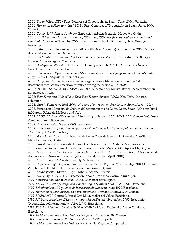2004: *Super-Veloz.* 1CIT / First Congress of Typography in Spain. June, 2004. Valencia. 2004: *Homenaje a Hermann Zapf*. 1CIT / First Congress of Typography in Spain. June, 2004. Valencia.

2004: *Contra la Violencia de género.* Exposición urbana de mupis. Motiva 04. Gijón. 2003: *100% Catalan Design. 100 Chairs, 100 books, 100 shoes from the Balearic Islands and Catalonia.* October – November 2003. Institut Ramon Llull. Häusslercityplaza. Stuttgart.

Germany.

2003: *L'Aparador.* Intervención tipográfica (with David Torrents). April – June, 2003. Museu Abelló. Mollet del Vallès. Barcelona.

2003: *Sin Limites. Visiones del diseño actual.* February – March, 2003. Palacio de Sástago. Diputación de Zaragoza. Zaragoza.

2003: *Gràfiques ocultes.* Any del Disseny. January – March. KRTU. Convent dels Àngels. Barcelona. (Itinerant exhibition).

2003: *'Bukva:raz!', Type design competition of the Association Typographique Internationale ATypI.* ONU Headquarters, New York (USA).

2002: *Proyecta. Diseño Español: Una nueva generación.* Ministerio de Asuntos Exteriores. Itinerant within Latino-american countries during the period 2002-2004.

2002: *Pasión. Diseño Español.* SEACEX. DDi. Akademie der Künste. Berlin. (Also exhibited in Salamanca, 2002).

2002: *Type Directors Club of New York Type Design Awards TDC2*. New York. (Itinerant exhibition).

2002: *García Fonts & co 1992-2002. 10 years of independent foundries in Spain*. April – May, 2002. Fundación Municipal de Cultura del Ayuntamiento de Gijón. Gijón. Spain. (Also exhibited in Murcia, Palma de Mallorca and Vic).

2002: *LAUS '02. Best of Design and Advertising in Spain in 2001*. ADG/FAD. Centre de Cultura Contemporània. Barcelona.

2002: *Barcelona LAB.* Galería RAS. Barcelona.

2002: *'Bukva:raz!' Type design competition of the Association Typographique Internationale / ATypI.* ATypI '02. Rome. Italy.

2001: *Situaciones.* April, 2001. Facultad de Bellas Artes de Cuenca. Universidad Castilla-La Mancha. Cuenca, Spain.

2001: *Barcelona +*. Primavera del Diseño. March – April, 2001. Galería Ras. Barcelona.

2001: *Cómo están las cosas.* Exposición urbana. Jornadas Motiva 2001. April – May. Gijón.

2000: *Encargos canallas. Proyectos imposibles.* December, 2000. Foro de Diseño / Asociación de diseñadores de Aragón. Zaragoza. (Also exhibited in Gijón. April, 2001).

2000: *Ilustradores del Pop.* June – July. Málaga. Spain.

2000: *Signos del siglo XX, 100 años de diseño gráfico en España.* March – May, 2000. Centro de Arte Reina Sofía. Madrid. (Itinerant exhibition around Spain).

2000: *Sounds&Files.* March – April. K/haus. Vienna. Austria.

2000: *Homenaje a Daniel Gil.* Exposición urbana. Jornadas Motiva 2000. Gijón.

1999: *Sonarmática.* Sónar Festival. June, 1999. Barcelona. Spain.

1999: *LAUS '29. Best of Design and Advertising in Spain in 1998*. ADG/FAD. Barcelona.

1999: *101 bibendum. 100 y 1 años de la mascota de Michelin.* May, 1999. Barcelona.

1999: *Homenaje a Joan Brossa.* Exposición urbana. Jornadas Motiva 1999. Oviedo.

1999: *MolletArt'99.* Centre Cultural Can Mulà. Mollet del Vallès. Barcelona.

1995: *Alfabetos españoles. Diseño de tipografía en España.* September, 1995. Assotiation Typographique Internationale / ATypI 1995. Barcelona.

1992: *El Palau Naciona. Crónica Gráfica.* MNAC / Museu Nacional d'Art de Catalunya. Barcelona.

1992: *2a Mostra de Xoves Deseñadores Graficos – Xuventude 92*. Orense.

1992: *Jovenews – Jóvenes diseñadores.* Revista ARDI. Logroño.

1991: *1a Mostra de Xoves Deseñadores Graficos.* Santiago de Compostela.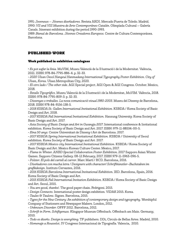1991: *Jovenews – Jóvenes diseñadores.* Revista ARDI. Mercado Puerta de Toledo. Madrid. 1990: *VII and VIII Muestra de Arte Contemporáneo Catalán*. Olimpíada Cultural – Galería Canals. Itinerant exhibition during the period 1990-1993.

1989: *Bienal de Barcelona. Jóvenes Creadores Europeos.* Centre de Cultura Contemporánea. Barcelona.

## PUBLISHED WORK

#### Work published in exhibition catalogues

· *Es pot xafar la línia*. MuVIM, Museu Valencià de la Il·lustració i de la Modernitat. València, 2021. ISBN: 978-84-7795-886-4. p. 32-33.

*• 2020 Ulsan Oesol Hangeul Hanmadang International Typography Poster Exhibition. City of Ulsan, Korea.* Ulsan Metropolitan City, 2020.

*• El otro lado / The other side*. AGI Special project. AGI Open & AGI Congress. October. Mexico, 2018.

*• Retalls Tipogràfics*. Museu Valencià de la Il·lustració i de la Modernitat, MuVIM. València, 2018. ISBN: 978-84-7795-809-3. p. 32-33.

*• Dissenyes o treballes. La nova comunicació visual 1980-2003.* Museu del Disseny de Barcelona, 2018. ISBN 978-84-9156-138-5.

*• 2018 KSBDA St. Gallen International Invitational Exhibition.* KSBDA / Korea Society of Basic Design and Art. 2018.

*• 2017 KSBDA Fall International Invitational Exhibition.* Hansung University. Korea Society of Basic Design and Art. 2017.

*• Asia Society of Basic Design and Art in Gwangju 2017*. International conference & Invitational exhibition. Korea Society of Basic Design and Art. 2017. ISBN: 979-11-88534-00-5.

*• Eina 50 anys.* Centre Universitari de Disseny i Art de Barcelona. 2017.

*• 2017 KSBDA Spring International Invitational Exhibition.* KSBDA / University of Seoul exhibition. Korea Society of Basic Design and Art. 2017.

*• 2017 KSBDA Mexico city International Invitational Exhibition.* KSBDA / Korea Society of Basic Design and Art. Mexico Korean Culture Center. Mexico, 2017.

*• Flame in Winter. ANBD Special Collaboration Poster Exhibition.* 2017 Sapporo Asian Winter Games. Sapporo Citizens Gallery. 08-12 February, 2017. ISBN 979-11-5963-096-5.

*• Polster. El pols del cartell al carrer.* Marc Martí / BCD. Barcelona, 2016.

*• Diseñadores con mucha letra / Designers with character/ Schriftkünstler–Buchstaben im grafikdesign*. Instituto Cervantes, 2016.

• *2016 KSBDA Barcelona International Invitational Exhibition.* IED. Barcelona, Spain, 2016. Korea Society of Basic Design and Art.

• *2015 KSBDA Fall International Invitation Exhibition.* KSBDA / Korea Society of Basic Design and Art. Seoul, 2015.

*• You are good, thanks!.* The good paper chain. Fedrigoni. 2015.

• *Design Connects.* International poster design exhibition. VIDAK 2015. Korea.

• *Taules & Taulons*. Signes. Barcelona, 2015.

• *Types for the New Century: An exhibition of contemporary design and typography*. Worshipful Company of Stationers and Newspaper Makers. London, 2012.

• *Unknown Disorder.* OFFF 2012. Barcelona, 2012.

• *Schrift in Form. Schiftgenuss.* Klingspor Museum Offenbach. Offenbach am Main. Germany, 2010.

• *Todo es diseño. Design is everything.* TF publishers. DDi, Circulo de Bellas Artes. Madrid, 2010.

• *Homenaje a Rousselot.* IV Congreso Internacional de Tipografía. Valencia, 2010.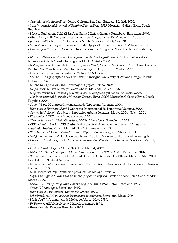• *Capital, diseño tipográfico.* Centro Cultural San Juan Bautista. Madrid, 2010.

• *24th International Biennial of Graphic Design Brno 2010*. Moravian Gallery. Brno. Czech Republic.

• *Monzó*. Guillamon, Julià (Ed.). Arts Santa Mònica. Galaxia Gutenberg. Barcelona, 2009.

• *Pimp the type.* III Congreso Internacional de Tipografía. MUVIM. Valencia, 2008.

• *¿Diferentes?* IX Exposición Urbana de Mupis. Motiva 2008. Gijón 2008.

• *Vaya Tipo 3*. II Congreso Internacional de Tipografía: "Las otras letras". Valencia, 2006.

• *Homenaje a Frutiger.* II Congreso Internacional de Tipografía: "Las otras letras". Valencia, 2006.

• *Motiva 1997-2006. Nueve años de jornadas de diseño gráficó en Asturias.* Varios autores. Escuela de Arte de Oviedo. Reprografía Morés. Oviedo, 2006.

• *Listos para leer. Diseño de libros en España / Ready to Read. Book design from Spain*. Sociedad Estatal DDi. Ministerio de Asuntos Exteriores y de Cooperación. Madrid, 2005.

• *Festina Lente.* Exposición urbana. Motiva 2005. Gijón.

• *See me. The typographic t-shirt exhibition catalogue.* University of Art and Design Helsinki. Helsinki, 2005.

• *Diseñadores para un libro.* Homenaje al Quijote. Toledo, 2005.

• *L'Aparador.* Museu Municipal Joan Abelló. Mollet del Vallès, 2005.

• *D'après. Versiones, ironías y divertimentos.* Campgràfic publishers. València, 2005.

• *21st International Biennale of Graphic Design. Brno, 2004.* Moravská Galerie v Brno. Czech Republic. 2004.

• *Super-Veloz.* I Congreso Internacional de Tipografía. Valencia, 2004.

• *Homenaje a Hermann Zapf*. I Congreso Internacional de Tipografía. Valencia, 2004.

• *Contra la Violencia de género.* Exposición urbana de mupis. Motiva 2004. Gijón, 2004.

• *IX premios AEPD awards book*. Madrid, 2004.

• '*Creativitat i estiu'* (*Guia Creativity* 2003). Albert Isern. Barcelona, 2003.

• *100% Catalan Design. 100 Chairs, 100 books, 100 shoes from the Balearic Islands and Catalonia.* Institut Ramon Llull. ADG-FAD. Barcelona, 2003.

• *Sin Limites. Visiones del diseño actual.* Diputación de Zaragoza. Febrero, 2003.

• *Gràfiques ocultes.* KRTU. Barcelona. Enero, 2003. Edición en catalán, castellano e inglés.

• *Proyecta. Diseño Español: Una nueva generación.* Ministerio de Asuntos Exteriores. Madrid, 2002.

• *Pasión. Diseño Español.* SEACEX. DDi. Madrid, 2002.

• *LAUS '02. Best of Design and Advertising in Spain in 2001*. ACTAR. Barcelona, 2002.

• *Situaciones*. Facultad de Bellas Artes de Cuenca. Universidad Castilla-La Mancha. Abril 2001. Pag. 114. ISBN 84-8427-136-6.

• *Encargos canallas. Proyectos imposibles.* Foro de Diseño. Asociación de diseñadores de Aragón. Diciembre 2000.

• *Ilustradores del Pop*. Diputación provincial de Málaga. Junio, 2000.

• *Signos del siglo XX. 100 años de diseño gráfico en España.* Centro de Arte Reina Sofía. Madrid, Marzo 2000.

*• LAUS '29. Best of Design and Advertising in Spain in 1998*. Actar. Barcelona, 1999.

- *Sónar '99 catalogue*. Barcelona, 1999.
- *Homenaje a Joan Brossa*. Motiva'99. Oviedo, 1999.
- *101 bibendum. 100 y 1 años de la mascota de Michelin.* Barcelona, Mayo 1999.
- *MolletArt'99.* Ajuntament de Mollet del Vallès. Mayo 1999.
- *IV Premios AEPD de Diseño.* Madrid, diciembre 1996.
- • *Primavera del Disseny*. Barcelona 1995.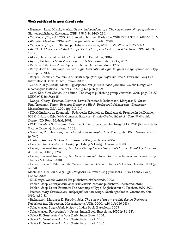#### Work published in specialized books

• Harmsen, Lars; Misiak, Marian. *Suport Independent type. The new culture off type specimens.*  Slanted publishers. Karlsruhe, ISBN: 978-3-948440-12-1.

*• YearBook of Type #4 2019-20.* Slanted publishers. Karlsruhe, 2018. ISBN: 978-3-948440-01-5. • *AGI New Members 2007-2017*. Hesign publisher. Berlin, 2018.

• *YearBook of Type III.* Slanted publishers. Karlsruhe, 2018. ISBN: 978-3-9818296-2-4.

• *ADCE. Art Directors Club of Europe. Best of European Design and Advertising 2002*. ADCE. 2002.

• Altaió, Gerard et al. *Et: Molt Tòxic*. Al Buit. Barcelona, 2004.

• Ayuso, Héctor. *WeMadeThis.es. Spain arts & culture*. Index Books, 2012.

• Barbuza, Tite. *Barcelona Flyers.* Ed. Actar. Barcelona, Junio 1999.

• Berry, John D. *Language, Culture, Type. International Type design in the age of unicode.* ATypI – Graphis, 2002.

• Berger, Joshua et Pao Imin. *30 Essential Typefaces for a lifetime.* Pao & Paws and Long Sea International Book Co. Ltd. Taiwan, 2006.

• Cano, Pilar y Serrats, Marta. *Typosphere. New fonts to make you think*. Collins Design and maomao publications. New York, 2007. (p.60, p.66, p.82).

• Cato, Ken. *First Choice*. 4th edition. The images publishing group. Australia, 2016. pags. 26-27. ISBN: 9781864706635.

• Dangel, Cheryl; Eiseman, Leatrice; Lewis, Ferdinand; Richardson, Margaret E.; Street, Rita; Triedman, Karen. *Breaking Designer's Block*. Rockport Publishers inc. Gloucester, Massachusetts, USA. 2004 (pp. 210-217).

• DDi (Ministerio de Economía), Federación Española de Entidades de Promoción del Diseño, ICEX (Instituto Español de Comercio Exterior). *Diseño Gráfico Español - Spanish Graphic Design*. CD-Rom. Madrid, 2001.

• FAD. *Terminal B. Barcelona Creative Database.* www.terminalb.org. Vol.2. FAD (Foment de les Arts i el Disseny). Barcelona, 2008.

• Gaertner, Flo. Hermsen, Lars. *Graphic Design inspirations.* Daab gmbh. Köln, Germany. 2010 (p. 326).

• Haslam, Andrew. *Book design.* Laurence King publishers. 2006.

• He, Jianping. *BookWorm.* Hesign publishing & Design. Germany, 2010.

• Heller, Steven et Anderson, Gail. *New Vintage Type: Classic fonts for the Digital Age.* Thames & Hudson, 2007. (p.128).

• Heller, Steven et Anderson, Gail. *New Ornamental type. Decorative lettering in the digital age.* Thames & Hudson, 2010.

• Heller, Steven & Talarico, Lita. *Typography sketchbooks.* Thames & Hudson. London, 2011 (p. 32-33).

Macmillan, Neil. *An A-Z of Type Designers*. Laurence King publishers (ISBN 1 85669 395 3). London 2006.

• NL.Design. *Mobile Minded*. Bis publishers. Netherlands, 2002.

• Pohlen, Joep. *Letterfontein [over drukletters].* Fontana publishers. Roermond, 2009.

• Pohlen, Joep. Letter Fountain: The Anatomy of Type [English version]. Taschen. 2010-2011.

• Pretzer, Mary. *Creative low-budget publication design*. North light books. Cincinnati, ohio. 1999. (p.30-31).

• Richardson, Margaret E. *TypeGraphics. The power of type in graphic design.* Rockport Publishers inc. Gloucester, Massachusetts, USA. 2000. (p.10-11/p.156-163).

• Sala, Màrius. *Logos Made in Spain.* Index Book. Barcelona, 2003.

• Sala, Màrius. *Póster Made in Spain.* Index Book. Barcelona, 2010 (p. 86-88).

• Select B. *Graphic design from Spain*. Index Book. 2004.

• Select C. *Graphic design from Spain*. Index Book. 2005.

• Select D. *Graphic design from Spain*. Index Book. 2006.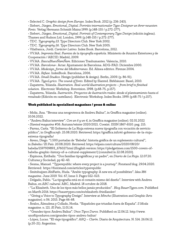• Selected C. *Graphic design from Europe.* Index Book. 2012 (p. 236-243).

• Siebert, Jürgen. *Emotional\_Digital. Porträts internationaler Type-Designer un ihrer neuesten Fonts.* Verlag Hermann Schmidt Mainz 1999. (p.148-155 / p.272-277).

• Siebert, Jürgen. *Emotional\_Digital. Portrait of Contemporary Type Design* (edición inglesa).

Thames and Hudson Ltd. London, 1999. (p.148-155 / p.272-277).

• TDC. *Typography 23*. Type Directors Club. New York 2002.

• TDC. *Typography 26*. Type Directors Club. New York 2005.

• Vilafranca, Jordi. *Carácter Latino.* Index Book. Barcelona, 2012.

• VV.AA. *Imprenta Real. Fuentes de la tipografía española.* Ministerio de Asuntos Exteriores y de Cooperación / AECID. Madrid, 2009.

• VV.AA. *BascuBluesÑamÑam.* Ediciones Trashumantes. Valencia, 2010.

• VV.AA. *Barcelona+*. Actar. Ajuntament de Barcelona. ADG-FAD. Diciembre 2000.

• VV.AA. *Medesign\_forme del Mediterraneo*. Ed. Alinea editrice. Firenze 2004.

• VV.AA. *Refuse*. IndexBook. Barcelona, 2006.

• VV.AA. *Small Studios*. Hesign (publisher & design). Berlin, 2009. (p. 86-91).

• VV.AA. *TypoLyrics. The sound of fonts.* Edited by Slanted. Birkhäuser. Basel, 2010.

• Zapaterra, Yolanda. *Illustration. Real-world illustration projects – from brief to finished solution.* Electronic Workshop. Rotovision. 1998. (p.68-75, p.157).

• Zapaterra, Yolanda. *Ilustración. Proyectos de ilustración reales: desde el planteamiento hasta el resultado* (Edición en castellano). Electronic Workshop. Index Books. 1999. (p.68-75 / p.157).

#### Work published in specialized magazines / press & online

• Moliz, Ana. "Brossa una neogrotesca de Andreu Balius", in Graffica magazine (online). 10.06.2022.

• "Andreu Balius interview". *Con un 6 y un 4*, in Graffica magazine (online). 02.01.2022

• *Slanted magazine* #36. Autumn/winter 2020/2021. Coexist. ISSN 1867-6510. pag. 215.

• Parras, Carla. "El Gobierno de La Rioja estrena nueva tipografía con vocación de servicio público", in *Graffica.info*. 25.08.2020. Retrieved: https://graffica.info/el-gobierno-de-la-riojaestrena-tipografia/

• Areso, Diego. "1.500 portadas de 'Babelia': historia gráfica de un suplemento cultural", in *Babelia / El País*. 20.08.2020. Retrieved: https://elpais.com/cultura/2020/08/20/

babelia/1597939893\_676027.html (English version: https://pledgetimes.com/1500-covers-ofbabelia-graphic-history-of-a-cultural-supplement/) [consulted in 22.08.2020].

• Espinosa, Estíbaliz. "Dos familias tipográficas y un padre", en *Diario de La Rioja*. 12.07.20. Culturas y Sociedad, pp 42-43.

• Sesma, Manuel. "Typerepublic: where every project is a journey". Fonstand blog. 29.04.2020. Retrieved: https://fontstand.com/articles/typerepublic

• Smitshuijzen AbiFarès, Huda. "Arabic typography: A new era of possibilities". *Idea 386 magazine*. June 2019. Vol. 67, Issue 3. Pages 022-023.

• Delgado, Pablo. "La tipografía está en el corazón mismo del diseño". Interview with Andreu Balius, en *ABC cultural*. ABC, Madrid. 18 octubre de 2018.

• "La Elizabeth. Uno de los tipos más bellos jamás producidos". *Blog BauerTypes.com.* Published on March 2016. https://bauertypes.com/es/elizabeth-friedlander/

• "Giving a Voice to Typography Design". Interview at *Mincho* (Illustration and Graphic Arts magazine). n 06. 2015. Page 66-68.

• Ávalos, Almudena y Collado, Noelia. "Españoles que triunfan fuera de España". *S Moda*  magazine. n. 121. *El País*, 11.01.14.

• "Grandes tipos: Andreu Balius". *Unos Tipos Duros.* Published on 12.06.12. http://www. unostiposduros.com/grandes-tipos-andreu-balius/

• López, Lucas. "El viaje tipográfico". *ARQ – Clarín*. Diario de Arquitectura. N. 514. 26.06.12. (p.20-21). Argentina.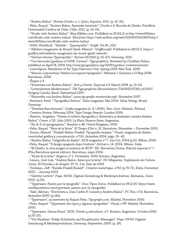• "Andreu Balius". *Revista Diseño.* n. 1. Quito, Equator, 2012. (p. 32-35).

• Pelta, Raquel. "Andreu Balius. Aprender haciendo". *Diseña* n 4. Escuela de Diseño. Pontificia Universidad Católica de Chile. Chile, 2012. (p. 26-35).

• "Studio visit: Andreu Balius". *Blog 40fakes.com.* Published on 20.04.12 at http://www.40fakes. com/studio-visit-andreu-balius/. Retrieved: https://web.archive.org/web/20190503201859/http:// www.40fakes.com/studio-visit-andreu-balius/

• G190–FontBook. "Matilde – Typerepublic". *Grafik*. Vol #1, 2011.

• "Alfabeto imaginario de Ricard Giralt-Miracle". *Gràffica.info*. Published on 28.03.11. https:// graffica.info/alfabeto-imaginario-de-ricard-giralt-miracle/

• "Zeichen Setzen: Typerepublic". *Novum* 06/2010 (p. 62-67). Germany, 2010.

• "Our favourite typefaces of 2008. Carmen". *Typographica.* Reviewed by Christian Palino,

published on April 18, 2009. http://new.typographica.org/2009/typeface-reviews/carmen/

• *LetterSpace*. Newsletter of the Type Directors Club. Spring 2009. New York. 2009.

• "Marcas corporativas: Hablan los mejores tipógrafos". *Allbrand*. (: Summa) n.13 May 2008. Barcelona, 2008.

• *Étapes* n 4.

• "Entrevista con Andreu Balius". *Arte y Diseño*. Especial n.9. March 2008. (p. 10-13).

• "Letteralmente Mediterraneo". *TM Typografische Monatsblätter* (TM/RSI/STM) n.6/2007. Gregory Catella. Basel. Switzerland 2007.

• "Entrevista con Andreu Balius". *www.tipografia-montevideo.info*. November 2007. • Reichard, Peter. "Tipográfica Ibérica". *Value* magazine. Mai 2006. Value Verlag, Mosel, Germany.

• "Terveisiä Barcelonasta". *Grafia* magazine (n. 4 / 2006). Tero Juuti. Helsinki. Finland.

• *Creative Review.* February 2006. Type Design Awards. London 2006.

• Naveiro, Jorgelina. "Patear el tablero (tipográfico). Entrevista al diseñador catalán Andreu Balius". *Crann*. nº18. Julio 2005. La Plata-Buenos Aires. Argentina.

• "An A-Z of typographers". *Baseline* n 48. United Kingdom, 2005.

• Pelta, Raquel. "Fans de la lletra". *El Temps d'Art* n. 22. Barcelona. November – December 2005.

• Sesma, Manuel. "Pradell-Balius-Pradell. Tipografía siempre." *Visual*, magazine de diseño, creatividad gráfica y comunicación. nº110, diciembre 2004. págs. 35–42.

• "Andreu Balius. Caligrafía de diseño". *AUX* magazine nº 7. Jun/Jul, 2004 (p.12). Bilbao, 2004.

• Pelta, Raquel. "Il design spagnolo dopo l'euforia". *ArtLab* n. 14. 2004. Milano. Italia.

• "El Diseño, la otra imagen económica de BCN". BD. *Barcelona Divina*. Edición especial nº 7 (Fira Barcelona special edition). Barcelona, mayo 2004.

• "Al pie de la letra". *Atypica*, nº 2. Diciembre, 2003. Rosario, Argentina.

• Lizano, José Luis. "Andreu Balius. Amor por la letra". *NU Magazine*. Suplemento de Cultura Joven. *El Periódico de Aragón*. Nº 15. 3 de Julio de 2003.

• Tombeau, Jeff. "Famille Pradell Eudald". *Création numérique*, nº83. (p.70-71). París, December 2002 – January 2003.

• "Gelobte Lettern". *Page*, 06/02. Digitale Gestaltung & Medienproduktion. Alemania, Junio 2002. (p.55).

• "Typerware. Pasión por la tipografía". *Unos Tipos Duros.* Published on 09.12.00. https://www. unostiposduros.com/typerware-pasion-por-la-tipografia/

• Valle, Alfonso. "Entrevista a Joan Carles P. Casasin y Andreu Balius". *PC Fun*, nº13. Barcelona, diciembre 2000. (p.140).

• "Typerware", an interview by Raquel Pelta. *Tipografos.com*. Madrid, November 2000.

• Pelta, Raquel. "Typerware: dos tipos y algunas tipografías". *Visual*, nº87. Madrid. November, 2000.

• "Typerware. Garcia Fonts". *BOX. Diseño y subcultura*. nº1. Rosario, Argentina. Octubre 2000. (p.20-25).

• "Von Raufaser-Teddy-Schnitzeln und Knopfmuster-Massagen". *Page*, 09/00. Digitale Gestaltung & Medienproduktion. Germany. September, 2000. (p. 29).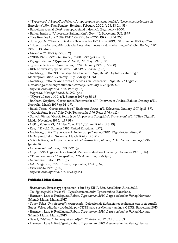• "Typerware" ,"SuperTipoVeloz+. A typographic construction kit", "Levenslustige letters uit Barcelona". *FontFont Benelux*. Belgium, February 2000. (p.15, 23-24, 58).

• Barcelona special. *Druk*. een opgroeiend tijdschrift. Begin/early 2000.

• Balius, Andreu. "Universitas Salamantini". *Grrr* nº5. Barcelona, Fall, 1999.

• "Los Premios Laus ADG-FAD". *On Diseño*, nº206. 1999. (p.254-255).

• Jubany, J.M. "Garcia fonts & co. Se nos va la olla". *Disco 2000*, nº8. Summer 1999. (p.62-63).

• "Nuevo diseño tipográfico: García fonts o los nuevos modos de la tipografía". *On Diseño*, nº201. 1999. (p.138-149).

• *Visual*, nº76. 1999. (p.6-7, p.87).

• "200N 1978/1999". *On Diseño*, nº200. 1999. (p.308-312).

• Pujagut, Jaume. "Typerware". *Neo2*, nº8. May 1999. (p.36).

• Type special issue. *Experimenta*, nº 24. January 1999. (p.56-58).

• 10th Anniversary special issue, 1989-1999. *Visual*. (p.95).

• Nachtwey, Jutta. "Blutrünstige Akademiker". *Page*, 07/98. Digitale Gestaltung &

Medienproduktion. Germany. July 1998. (p.54-56).

• Nachtwey, Jutta. "Garcia fonts. Überdosis an Lesbarkeit". *Page*, 02/97. Digitale

Gestaltung&Medienproduktion. Germany, February 1997. (p.48-50).

• *Experimenta Informa*, nº16. 1997. (p.26).

• *Icograda, Message board*, 3/1997. (p.4).

• "Flyers". *Disco 2000*, nº1. Summer 1997. (p.35-38).

• Banham, Stephen. "Garcia fonts. Font free for all" (Interview to Andreu Balius). *Desktop* nº111. Australia, March 1997. (p.44-47).

• Bil'ak, Peter. "Garcia fonts & co.". *Reklamná Revue*, nº1. Eslovenia, January 1997. (p.35-37).

• "Garcia fonts & co." *Talp Club*, Temporada 1996. Reus 1996. (p.12).

• Sunyol, Víctor. "Garcia fonts & co. Un projecte Tipogràfic". *Transversal*, nº1. "L'Era Digital". Lleida, November 1996. (p.97-99).

• *U&Lc,* Volume 23, nº3. New York, USA, Winter 1996. (p.28-29).

• Eye, nº21 vol.6. Summer 1996. United Kingdom. (p.77).

• Nachtwey, Jutta. "Typerware. H in der Suppe". *Page*, 03/96. Digitale Gestaltung &

Medienproduktion. Germany, March 1996. (p.20-21).

• "Garcia fonts, les Duponts de la police". *Étapes Graphiques*, nº14. France. January, 1996. (p.54-58).

• *Experimenta Informa*, nº10. 1996. (p.10).

• *Page*, 12/95. Digitale Gestaltung & Medienproduktion. Germany, December 1995. (p.15).

• "Tipos con humor". *Tipográfica*, nº25. Argentina, 1995. (p.8).

• *Neomanía 2*. Otoño 1995. (p.7).

• *BAT* Magazine, nº165. France, September, 1994. (p.57).

• *Visual* nº42. 1993. (p.10).

• *Experimenta Informa*, nº5. 1993. (p.14).

#### Published Miscelanea

• *Brossarium*. Brossa type specimen, edited by EINA Edit. Arts Libris June, 2022.

• *The Typerepublic Press* #1 - Type specimen. 2019. Typerepublic. Barcelona.

• Harmsen, Lars & Ruddigkeit, Raban. *Typodarium 2014. A type calendar.* Verlag Hermann Schmidt Mainz. Mainz, 2017.

• *Super Veloz. Una tipografía recuperada.* Colección de ilustraciones realizadas con la tipografía Super-Veloz, editada y producida por CEGE para sus clientes y amigos. CEGE. Barcelona, 2013.

• Harmsen, Lars & Ruddigkeit, Raban. *Typodarium 2014. A type calendar.* Verlag Hermann Schmidt Mainz. Mainz, 2013.

• Savall, Cristina. "Un porquet en vespa", *El Periódico*, 12.02.2013. p. 39.

• Harmsen, Lars & Ruddigkeit, Raban. *Typodarium 2013. A type calendar.* Verlag Hermann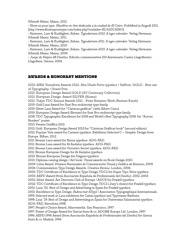Schmidt Mainz. Mainz, 2012.

• Show us your type. *Muestra on-line dedicada a la ciudad de El Cairo*. Published in August 2011. [http://www.showusyourtype.com/index.php?ciudades=EL%20CAIRO].

• Harmsen, Lars & Ruddigkeit, Raban. *Typodarium 2012. A type calendar.* Verlag Hermann Schmidt Mainz. Mainz, 2011.

• Harmsen, Lars & Ruddigkeit, Raban. *Typodarium 2011. A type calendar.* Verlag Hermann Schmidt Mainz. Mainz, 2010.

• Harmsen, Lars & Ruddigkeit, Raban. *Typodarium 2010. A type calendar.* Verlag Hermann Schmidt Mainz. Mainz, 2009.

• *Juego de Naipes 48 Diseños.* Edición conmemorativa 150 Aniversario Casino Llagosterenc. Llagostera. Girona. 2006.

# AWARDS & HONORARY MENTIONS

2022: MEA Transform Awards 2022. Abu Dhabi Ports typeface / Saffron. GOLD - Best use of Typography / Grand Prix.

2021: European Design Award GOLD (SV Centenary Collection)

2021: European Design Award SILVER (Aloma)

2021: Tokyo TDC Annual Awards 2021 - Prize Nominee Work (Barmer Katab)

2019: Gold Laus Award for Seat Bcn multiscript type family

2019: Silver Laus Award for "Càrnicas gráficas" (with Albert Cano).

2019: European Design Award (Bronze) for Seat Bcn multiscript type family

2018: TDC Typographic Excellence for 2018 and World's Best Typography 2018 for "Across Borders" poster.

2013: Premio Gráffica 2013.

2013: Gold European Design Award 2013 for "Cárnicas Gráficas book" (second edition).

2012: Popular Vote award for Carmen typeface. Exhibition Selected C – Graphic Design from Europe. Bilbao, 2012.

2011: Bronze Laus award for Barna typeface. ADG-FAD.

2011: Bronze Laus award for Al Andalus typeface. ADG-FAD.

2011: Bronze Laus award for Victoria's Secret typeface. ADG-FAD.

2011: Bronze European Design for Al Andalus typeface.

2010: Bronze European Design for Dsignes typeface.

2010: Diploma catalog design / Art book. Visual awards on Book Design 2010.

2009: Letra Award. Premios Nacionales de Comunicación Visual y Gráfica de Entorno, 2009.

2006: Commendation Type Design Awards. *Creative Review*. London, 2006.

2005: TDC Certificate of Excellence in Type Design TDC2 for Super Tipo Veloz typeface.

2003: AEPD Award (from Asociación Española de Profesionales del Diseño). 2002-2003.

2002: Silver Award. Art Directors Club of Europe / ADCE for Pradell typeface.

2002: TDC Certificate of Excellence in Type Design TDC2 (Jury's choice) for Pradell typeface. 2001: Laus '02. Best of Design and Advertising in Spain for Pradell typeface.

2001: Excellence in Type Design. *Bukva:raz!* ATypI / Association Typographique Internationale. 1999: Selected work at Laus exhibition for Cañas typeface and Typerware Batfonts.

1998: Laus '29. Best of Design and Advertising in Spain for Universitas Salamantini typeface. ADG-FAD. Barcelona 1998.

1997: People's Choice Award, Macromedia. San Francisco, 1997.

1997: Power of Design Award for Garcia fonts & co. ADOBE Europe Ltd. London, 1997.

1996: AEPD 1996 Award (from Asociación Española de Profesionales del Diseño) for Garcia fonts & co. Madrid, 1996.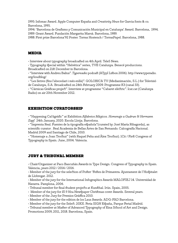1995: Infomac Award. Apple Computer España and *Creativity News* for Garcia fonts & co. Barcelona, 1995.

1994: 'Barcelona de Grafismo y Comunicación Municipal en Catalunya' Award. Barcelona, 1994. 1989: Grant Award. Fundación Margarita Marsà. Barcelona, 1989.

1988: First prize Barcelona'92 Poster. Torras Hostench / TorrasPapel. Barcelona, 1988.

## MEDIA

• Interview about typography broadcasted on 4th April. Tele5 News.

• Typography special within "Helvètica" series, TVE Catalunya. Benecé produccions. Broadcasted on 21st December in Barcelona.

• "Interview with Andreu Balius". *Typereadio* podcast (ATypI Lisbon 2006). http://www.typeradio. org/loudblog/

• "Les lletres (fins l'abecedari i més enllà)". GOLOBICA TV (Medianimación, S.L.) for Televisió de Catalunya, S.A. Broadcasted on 24th February 2009. Programme K3 (canal 33).

• "Cárnicas Gráficas project". Interview at programme "Cabaret elèctric". Icat.cat (Catalunya Radio) on air 20th November 2012.

## EXHIBITION CURATORSHIP

• "Happening Cal·ligràfic" at Exhibition *Alfabetos Mágicos. Homenaje a Gudrun & Hermann Zapf.* 24th January, 2020. Escola Llotja. Barcelona.

• "Imprenta Real. Fuentes de la tipografía española"(curated by José María Ribagorda), as scientific curator . Real Academia de Bellas Artes de San Fernando. Calcografía Nacional. Madrid 2009 and Santiago de Chile, 2010.

• "Homenaje a Joan Trochut" (with Raquel Pelta and Àlex Trochut). 1Cit / First Congress of Typography in Spain. June, 2004. Valencia.

## JURY & TRIBUNAL MEMBER

• Chair/Organizer at Paco Bascuñán Awards in Type Design. Congress of Typography in Spain. Valencia, years 2012 / 2014 / 2016.

• Member of the jury for the selection of Poster 'Festes de Primavera. Ajuntament de l'Hospitalet de Llobregat. 2012.

• Member of the jury for the International Infographics Awards MALOFIEJ 14. Universidad de Navarra. Pamplona, 2006.

- Tribunal member for final student projects at Kunsthal. Irún. Spain, 2005.
- Member of the jury for *El 9 Nou* Newspaper Christmas cover Awards. Several years.
- Member of the Jury for Premios Gràffica 2010.
- Member of the jury for the edition de los Laus Awards. ADG-FAD Barcelona.
- Member of the jury for the Select. 20XX. Feria SIGN España, Parque Ferial Madrid.
- Tribunal member at Master of Advanced Typography of Eina School of Art and Design.

Promotions 2009, 2011, 2018. Barcelona, Spain.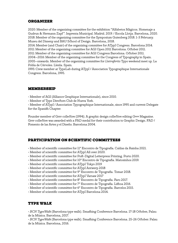# ORGANIZER

2020: Member of the organizing committee for the exhibition "Alfabetos Mágicos. Homenaje a Gudrun & Hermann Zapf". Imprenta Municipal. Madrid. 2019. / Escola Llotja. Barcelona, 2020. 2018: Member of the organizing committee for the Symposium Gutenberg 2018. 1-3 February. Museu del Disseny and BAU School of Design. Barcelona, 2018.

2014: Member (and Chair) of the organizing committee for ATypI Congress. Barcelona 2014. 2011: Member of the organizing committee for AGI Open 2011 Barcelona. October 2011.

2011: Member of the organizing committee for AGI Congress Barcelona. October 2011.

2004–2016: Member of the organizing committee for the Congress of Typography in Spain. 2005–onwards. Member of the organizing committee for *Lletraferits* Typo weekend meet up. La Pobla de Cérvoles. Lleida. Spain.

1995: Crew member at TypeLab during ATypI / Association Typographique Internationale Congress. Barcelona, 1995.

## MEMBERSHIP

• Member of AGI (Alliance Graphique Internationale), since 2010.

• Member of Type Directors Club de Nueva York.

• Member of ATypI / Association Typographique Internationale, since 1995 and current Delegate for the Spanish Chapter.

Founder member of Grrr collective (1994). A graphic design collective editing *Grrr* Magazine. Grrr collective was awarded with a FAD medal for their contribution to Graphic Design. FAD / Fomento de las Artes y el Diseño. Barcelona 2004.

# PARTICIPATION ON SCIENTIFIC COMMITTEES

- Member of scientific committee for 11º Encontro de Tipografia. Caldas da Rainha 2021.
- Member of scientific committee for ATypI All over 2020.
- Member of scientific committee for Post-Digital Letterpress Printing. Porto 2020.
- Member of scientific committee for 10º Encontro de Tipografia. Matosinhos 2019.
- Member of scientific committee for ATypI Tokyo 2019
- Member of scientific committee for ATypI Antwerp 2018
- Member of scientific committee for 9º Encontro de Tipografia. Tomar 2018.
- Member of scientific committee for ATypI Varsaw 2017
- Member of scientific committee for 8º Encontro de Tipografia. Faro 2017.
- Member of scientific committee for 7º Encontro de Tipografia. Lisboa 2016.
- Member of scientific committee for 6º Encontro de Tipografia. Barcelos 2015.
- Member of scientific committee for ATypI Barcelona 2014.

# TYPE WALK

• *BCN TypeWalk* (Barcelona type walk). Smashing Conference Barcelona. 17-18 October, Palau de la Música. Barcelona, 2017.

• *BCN TypeWalk* (Barcelona type walk). Smashing Conference Barcelona. 25-26 October. Palau de la Música. Barcelona, 2016.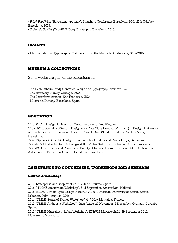• *BCN TypeWalk* (Barcelona type walk). Smashing Conference Barcelona. 20th-21th October. Barcelona, 2015.

• *Safari de Serifas* (TypeWalk Bcn). Entretipos. Barcelona, 2013.

# GRANTS

• Khtt Foundation. Typographic Matchmaking in the Maghrib. Amsterdam, 2015-2016.

# MUSEUM & COLLECTIONS

Some works are part of the collections at:

•The Herb Lubalin Study Center of Design and Typography. New York. USA.

- The Newberry Library. Chicago. USA.
- The Letterform Archive. San Francisco. USA.
- Museu del Disseny. Barcelona. Spain

# **EDUCATION**

2013: PhD in Design. University of Southampton. United Kingdom.

2009-2010: Bachelor of Arts in Design with First Class Honors. BA (Hons) in Design. University of Southampton – Winchester School of Arts, United Kingdom and the Escola Elisava, Barcelona.

1989: Diploma in Graphic Design from the School of Arts and Crafts Llotja, Barcelona. 1985-1989: Studies in Graphic Design at IDEP / Institut d'Estudis Politècnics de Barcelona. 1980-1984: Sociology and Economics. Faculty of Economics and Business. UAB / Universidad Autónoma de Barcelona. Campus Bellaterra. Barcelona.

# ASSISTANCE TO CONGRESSES, WORKSHOPS AND SEMINARS

#### Courses & workshops

2019: Letterpress workshop meet up. 8-9 June. Urueña. Spain.

2016: "TMM3 Amsterdam Workshop". 5-11 September. Amsterdam, Holland.

2016: ATDB / Arabic Type Design in Beirut. AUB / American University of Beirut. Beirut. Lebanon. July – August, 2016.

2016 "TMM3 South of France Workshop". 4-9 May. Montalba, France.

2015 "TMM3 Andalusia Workshop". Casa Árabe. 25 November-2 December. Granada-Córdoba. Spain.

2015 "TMM3 Marrakech-Rabat Workshop". ESAVM Marrakech. 14-19 September 2015. Marrakech, Marrocco.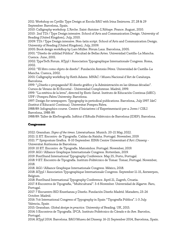2011: Workshop on Cyrillic Type Design at Escola BAU with Irina Smirnova. 27, 28 & 29 September. Barcelona, Spain.

2010: Calligraphy workshop. L'Arche. Saint-Antoine-L'Abbaye. France. August, 2010. 2010: 2nd TDi / Type Design intensive. School of Arts and Communication Design. University of Reading (United Kingdom), July, 2010.

2009: TDi / Type Design intensive. Non-latin script. School of Arts and Communication Design. University of Reading (United Kingdom), July, 2009.

2005: Book design workshop by Lars Müller. Fòrum Laus. Barcelona, 2005.

2001: "Diseño de utilidad Pública". Facultad de Bellas Artes. Universidad Castilla-La Mancha. Cuenca. June, 2001.

2002: TypeTech Forum. ATypI / Association Typographique Internationale Congress. Roma, 2002.

2002: "El libro como objeto de diseño". Fundación Antonio Pérez. Universidad de Castilla-La Mancha. Cuenca, 2002.

2001: Calligraphy workshop by Keith Adams. MNAC / Museu Nacional d'Art de Catalunya. Barcelona.

1999: "¿Diseño o propaganda? El diseño gráfico y la Administración en las últimas décadas". Cursos de Verano de El Escorial - Universidad Complutense. Madrid, 1999.

1999: "La estética de la letra", directed by Enric Satué. Instituto de Educación Continua (IdEC). UPF / Pompeu Fabra University. Barcelona.

1997: Design for newspapers. Typography in periodical publications. Barcelona, July 1997. IdeC (Institut d'Educació Continua). Universitat Pompeu Fabra.

1988/89: Infographics course. Centre d'Iniciatives i d'Experimentació per a Joves / CIEJ. Barcelona, 1988-89.

1988/89: Taller de Electrografía. Institut d'Estudis Politècnics de Barcelona (IDEP). Barcelona.

#### Congresses

2022: Granshan. *Signs of the times*. Literaturhaus. Munich. 20-21 May, 2022.

2021: 11 ET. Encontro de Tipografia. Caldas da Rainha. Portugal. November, 2019.

2021: 7º Symposium Grafica. 8-10 September. EINA Centre Universitari d'Art i Disseny - Universitat Autònoma de Barcelona.

2019: 10 ET. Encontro de Tipografia. Matosinhos. Portugal. November, 2019.

2019: AGI / Alliance Graphique Internationale Congress. Rotterdam, 2019.

2019: FontStand International Typography Conference. May 25, Porto, Portugal.

2018: 9 ET. Encontro de Tipografia. Instituto Politécnico de Tomar. Tomar, Portugal. November, 2018.

2018. AGI / Alliance Graphique Internationale Congress. México, 2018.

2018: ATypI / Association Typographique Internationale Congress. September 11-15, Antwerpen, Belgium.

2018: FontStand International Typography Conference. April 21, Zagreb, Croatia.

2017. 8 Encontros de Tipografia, "Multicultural". 3-6 November. Universidad de Algarve. Faro, Portugal.

2017: 7 Encuentro BID Enseñanza y Diseño. Fundación Diseño Madrid. Matadero, 23-26 October. Madrid.

2016: 7cit International Congress of Typography in Spain "Tipografía Pública". 1-3 July. Valencia, Spain

2015: Granshan. *Global design in practice.* University of Reading. UK, 2015.

2014: 5 Encontros de Tipografia. IPCA. Instituto Politécnico do Cávado e do Ave. Barcelos, Portugal.

2014: ATypI 2014. Barcelona. BAU/Museu del Disseny. 16-21 September 2014, Barcelona, Spain.